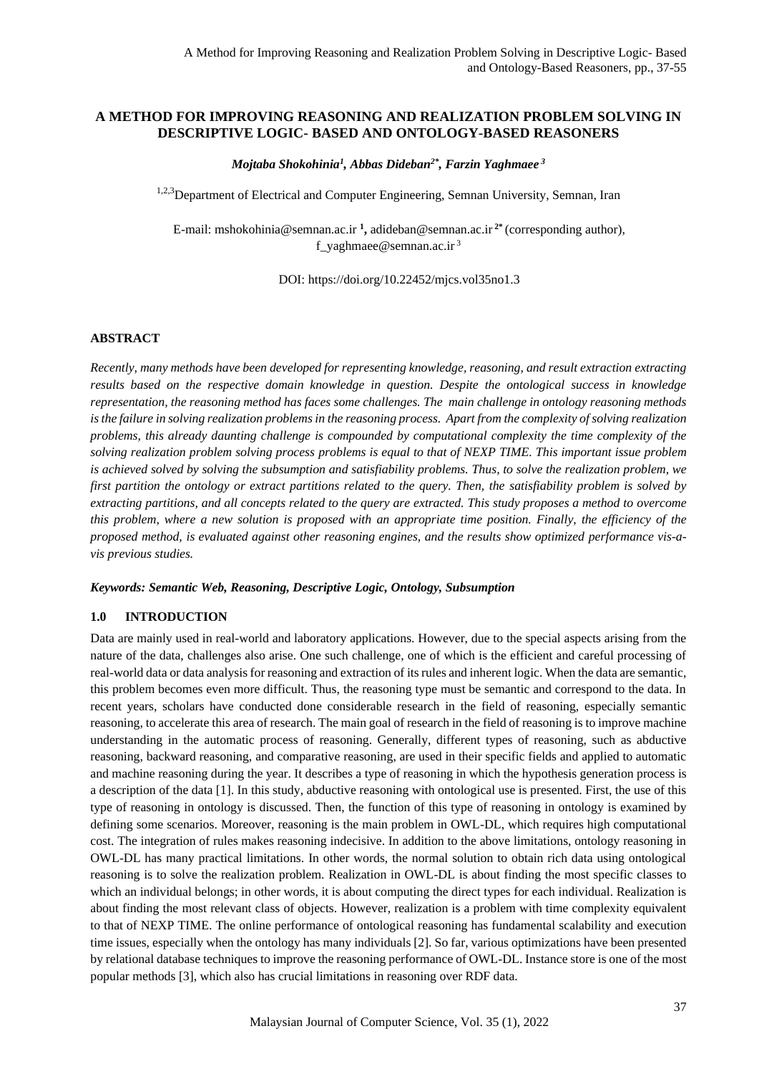# **A METHOD FOR IMPROVING REASONING AND REALIZATION PROBLEM SOLVING IN DESCRIPTIVE LOGIC- BASED AND ONTOLOGY-BASED REASONERS**

*Mojtaba Shokohinia<sup>1</sup> , Abbas Dideban2\* , Farzin Yaghmaee <sup>3</sup>*

<sup>1,2,3</sup>Department of Electrical and Computer Engineering, Semnan University, Semnan, Iran

E-mail: [mshokohinia@semnan.ac.ir](mailto:mshokohinia@semnan.ac.ir) **<sup>1</sup> ,** [adideban@semnan.ac.ir](mailto:adideban@semnan.ac.ir) **2\*** (corresponding author), [f\\_yaghmaee@semnan.ac.ir](mailto:f_yaghmaee@semnan.ac.ir)  $3$ 

DOI: https://doi.org/10.22452/mjcs.vol35no1.3

# **ABSTRACT**

*Recently, many methods have been developed for representing knowledge, reasoning, and result extraction extracting results based on the respective domain knowledge in question. Despite the ontological success in knowledge representation, the reasoning method has faces some challenges. The main challenge in ontology reasoning methods is the failure in solving realization problems in the reasoning process. Apart from the complexity of solving realization problems, this already daunting challenge is compounded by computational complexity the time complexity of the solving realization problem solving process problems is equal to that of NEXP TIME. This important issue problem is achieved solved by solving the subsumption and satisfiability problems. Thus, to solve the realization problem, we first partition the ontology or extract partitions related to the query. Then, the satisfiability problem is solved by extracting partitions, and all concepts related to the query are extracted. This study proposes a method to overcome this problem, where a new solution is proposed with an appropriate time position. Finally, the efficiency of the proposed method, is evaluated against other reasoning engines, and the results show optimized performance vis-avis previous studies.*

### *Keywords: Semantic Web, Reasoning, Descriptive Logic, Ontology, Subsumption*

### **1.0 INTRODUCTION**

Data are mainly used in real-world and laboratory applications. However, due to the special aspects arising from the nature of the data, challenges also arise. One such challenge, one of which is the efficient and careful processing of real-world data or data analysis for reasoning and extraction of its rules and inherent logic. When the data are semantic, this problem becomes even more difficult. Thus, the reasoning type must be semantic and correspond to the data. In recent years, scholars have conducted done considerable research in the field of reasoning, especially semantic reasoning, to accelerate this area of research. The main goal of research in the field of reasoning is to improve machine understanding in the automatic process of reasoning. Generally, different types of reasoning, such as abductive reasoning, backward reasoning, and comparative reasoning, are used in their specific fields and applied to automatic and machine reasoning during the year. It describes a type of reasoning in which the hypothesis generation process is a description of the data [1]. In this study, abductive reasoning with ontological use is presented. First, the use of this type of reasoning in ontology is discussed. Then, the function of this type of reasoning in ontology is examined by defining some scenarios. Moreover, reasoning is the main problem in OWL-DL, which requires high computational cost. The integration of rules makes reasoning indecisive. In addition to the above limitations, ontology reasoning in OWL-DL has many practical limitations. In other words, the normal solution to obtain rich data using ontological reasoning is to solve the realization problem. Realization in OWL-DL is about finding the most specific classes to which an individual belongs; in other words, it is about computing the direct types for each individual. Realization is about finding the most relevant class of objects. However, realization is a problem with time complexity equivalent to that of NEXP TIME. The online performance of ontological reasoning has fundamental scalability and execution time issues, especially when the ontology has many individuals [2]. So far, various optimizations have been presented by relational database techniques to improve the reasoning performance of OWL-DL. Instance store is one of the most popular methods [3], which also has crucial limitations in reasoning over RDF data.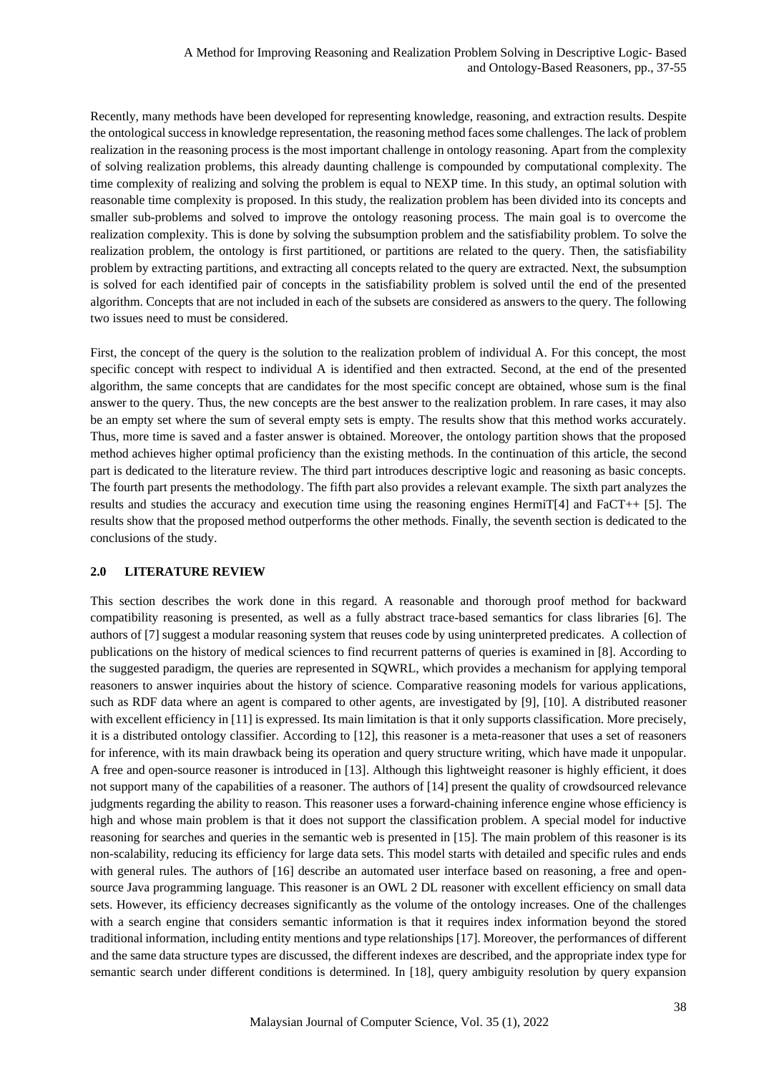Recently, many methods have been developed for representing knowledge, reasoning, and extraction results. Despite the ontological success in knowledge representation, the reasoning method faces some challenges. The lack of problem realization in the reasoning process is the most important challenge in ontology reasoning. Apart from the complexity of solving realization problems, this already daunting challenge is compounded by computational complexity. The time complexity of realizing and solving the problem is equal to NEXP time. In this study, an optimal solution with reasonable time complexity is proposed. In this study, the realization problem has been divided into its concepts and smaller sub-problems and solved to improve the ontology reasoning process. The main goal is to overcome the realization complexity. This is done by solving the subsumption problem and the satisfiability problem. To solve the realization problem, the ontology is first partitioned, or partitions are related to the query. Then, the satisfiability problem by extracting partitions, and extracting all concepts related to the query are extracted. Next, the subsumption is solved for each identified pair of concepts in the satisfiability problem is solved until the end of the presented algorithm. Concepts that are not included in each of the subsets are considered as answers to the query. The following two issues need to must be considered.

First, the concept of the query is the solution to the realization problem of individual A. For this concept, the most specific concept with respect to individual A is identified and then extracted. Second, at the end of the presented algorithm, the same concepts that are candidates for the most specific concept are obtained, whose sum is the final answer to the query. Thus, the new concepts are the best answer to the realization problem. In rare cases, it may also be an empty set where the sum of several empty sets is empty. The results show that this method works accurately. Thus, more time is saved and a faster answer is obtained. Moreover, the ontology partition shows that the proposed method achieves higher optimal proficiency than the existing methods. In the continuation of this article, the second part is dedicated to the literature review. The third part introduces descriptive logic and reasoning as basic concepts. The fourth part presents the methodology. The fifth part also provides a relevant example. The sixth part analyzes the results and studies the accuracy and execution time using the reasoning engines HermiT[4] and FaCT++ [5]. The results show that the proposed method outperforms the other methods. Finally, the seventh section is dedicated to the conclusions of the study.

# **2.0 LITERATURE REVIEW**

This section describes the work done in this regard. A reasonable and thorough proof method for backward compatibility reasoning is presented, as well as a fully abstract trace-based semantics for class libraries [6]. The authors of [7] suggest a modular reasoning system that reuses code by using uninterpreted predicates. A collection of publications on the history of medical sciences to find recurrent patterns of queries is examined in [8]. According to the suggested paradigm, the queries are represented in SQWRL, which provides a mechanism for applying temporal reasoners to answer inquiries about the history of science. Comparative reasoning models for various applications, such as RDF data where an agent is compared to other agents, are investigated by [9], [10]. A distributed reasoner with excellent efficiency in [11] is expressed. Its main limitation is that it only supports classification. More precisely, it is a distributed ontology classifier. According to [12], this reasoner is a meta-reasoner that uses a set of reasoners for inference, with its main drawback being its operation and query structure writing, which have made it unpopular. A free and open-source reasoner is introduced in [13]. Although this lightweight reasoner is highly efficient, it does not support many of the capabilities of a reasoner. The authors of [14] present the quality of crowdsourced relevance judgments regarding the ability to reason. This reasoner uses a forward-chaining inference engine whose efficiency is high and whose main problem is that it does not support the classification problem. A special model for inductive reasoning for searches and queries in the semantic web is presented in [15]. The main problem of this reasoner is its non-scalability, reducing its efficiency for large data sets. This model starts with detailed and specific rules and ends with general rules. The authors of [16] describe an automated user interface based on reasoning, a free and opensource Java programming language. This reasoner is an OWL 2 DL reasoner with excellent efficiency on small data sets. However, its efficiency decreases significantly as the volume of the ontology increases. One of the challenges with a search engine that considers semantic information is that it requires index information beyond the stored traditional information, including entity mentions and type relationships [17]. Moreover, the performances of different and the same data structure types are discussed, the different indexes are described, and the appropriate index type for semantic search under different conditions is determined. In [18], query ambiguity resolution by query expansion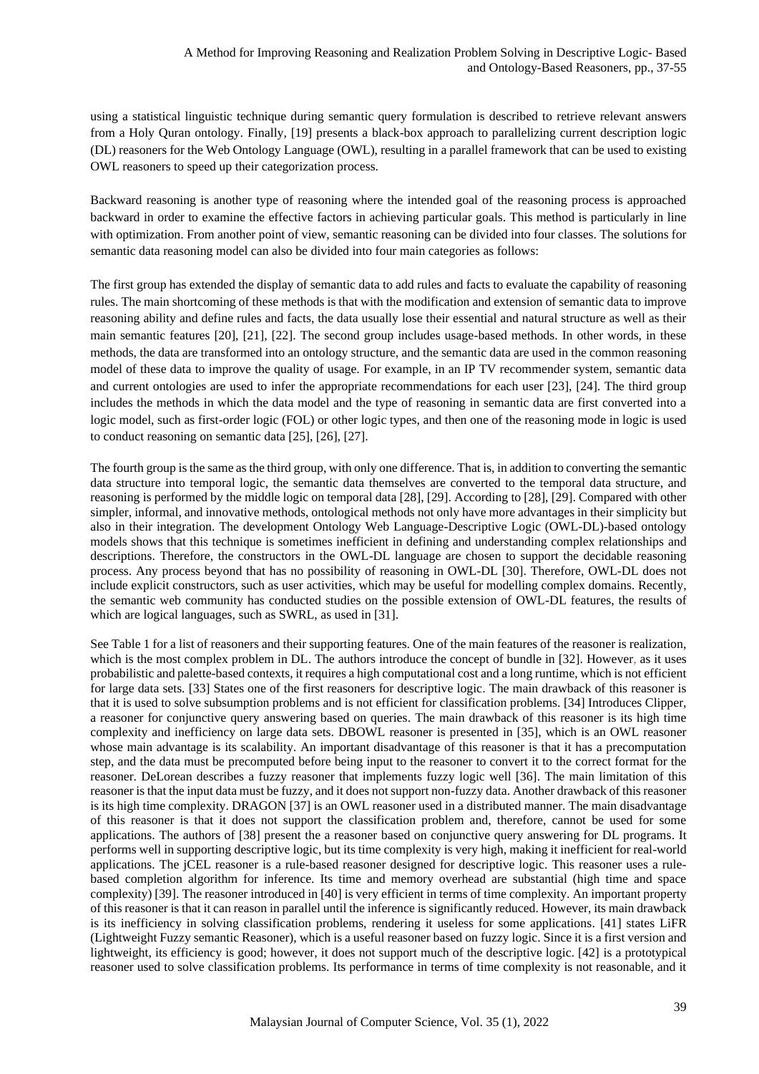using a statistical linguistic technique during semantic query formulation is described to retrieve relevant answers from a Holy Quran ontology. Finally, [19] presents a black-box approach to parallelizing current description logic (DL) reasoners for the Web Ontology Language (OWL), resulting in a parallel framework that can be used to existing OWL reasoners to speed up their categorization process.

Backward reasoning is another type of reasoning where the intended goal of the reasoning process is approached backward in order to examine the effective factors in achieving particular goals. This method is particularly in line with optimization. From another point of view, semantic reasoning can be divided into four classes. The solutions for semantic data reasoning model can also be divided into four main categories as follows:

The first group has extended the display of semantic data to add rules and facts to evaluate the capability of reasoning rules. The main shortcoming of these methods is that with the modification and extension of semantic data to improve reasoning ability and define rules and facts, the data usually lose their essential and natural structure as well as their main semantic features [20], [21], [22]. The second group includes usage-based methods. In other words, in these methods, the data are transformed into an ontology structure, and the semantic data are used in the common reasoning model of these data to improve the quality of usage. For example, in an IP TV recommender system, semantic data and current ontologies are used to infer the appropriate recommendations for each user [23], [24]. The third group includes the methods in which the data model and the type of reasoning in semantic data are first converted into a logic model, such as first-order logic (FOL) or other logic types, and then one of the reasoning mode in logic is used to conduct reasoning on semantic data [25], [26], [27].

The fourth group is the same as the third group, with only one difference. That is, in addition to converting the semantic data structure into temporal logic, the semantic data themselves are converted to the temporal data structure, and reasoning is performed by the middle logic on temporal data [28], [29]. According to [28], [29]. Compared with other simpler, informal, and innovative methods, ontological methods not only have more advantages in their simplicity but also in their integration. The development Ontology Web Language-Descriptive Logic (OWL-DL)-based ontology models shows that this technique is sometimes inefficient in defining and understanding complex relationships and descriptions. Therefore, the constructors in the OWL-DL language are chosen to support the decidable reasoning process. Any process beyond that has no possibility of reasoning in OWL-DL [30]. Therefore, OWL-DL does not include explicit constructors, such as user activities, which may be useful for modelling complex domains. Recently, the semantic web community has conducted studies on the possible extension of OWL-DL features, the results of which are logical languages, such as SWRL, as used in [31].

See Table 1 for a list of reasoners and their supporting features. One of the main features of the reasoner is realization, which is the most complex problem in DL. The authors introduce the concept of bundle in [32]. However, as it uses probabilistic and palette-based contexts, it requires a high computational cost and a long runtime, which is not efficient for large data sets. [33] States one of the first reasoners for descriptive logic. The main drawback of this reasoner is that it is used to solve subsumption problems and is not efficient for classification problems. [34] Introduces Clipper, a reasoner for conjunctive query answering based on queries. The main drawback of this reasoner is its high time complexity and inefficiency on large data sets. DBOWL reasoner is presented in [35], which is an OWL reasoner whose main advantage is its scalability. An important disadvantage of this reasoner is that it has a precomputation step, and the data must be precomputed before being input to the reasoner to convert it to the correct format for the reasoner. DeLorean describes a fuzzy reasoner that implements fuzzy logic well [36]. The main limitation of this reasoner is that the input data must be fuzzy, and it does not support non-fuzzy data. Another drawback of this reasoner is its high time complexity. DRAGON [37] is an OWL reasoner used in a distributed manner. The main disadvantage of this reasoner is that it does not support the classification problem and, therefore, cannot be used for some applications. The authors of [38] present the a reasoner based on conjunctive query answering for DL programs. It performs well in supporting descriptive logic, but its time complexity is very high, making it inefficient for real-world applications. The jCEL reasoner is a rule-based reasoner designed for descriptive logic. This reasoner uses a rulebased completion algorithm for inference. Its time and memory overhead are substantial (high time and space complexity) [39]. The reasoner introduced in [40] is very efficient in terms of time complexity. An important property of this reasoner is that it can reason in parallel until the inference is significantly reduced. However, its main drawback is its inefficiency in solving classification problems, rendering it useless for some applications. [41] states LiFR (Lightweight Fuzzy semantic Reasoner), which is a useful reasoner based on fuzzy logic. Since it is a first version and lightweight, its efficiency is good; however, it does not support much of the descriptive logic. [42] is a prototypical reasoner used to solve classification problems. Its performance in terms of time complexity is not reasonable, and it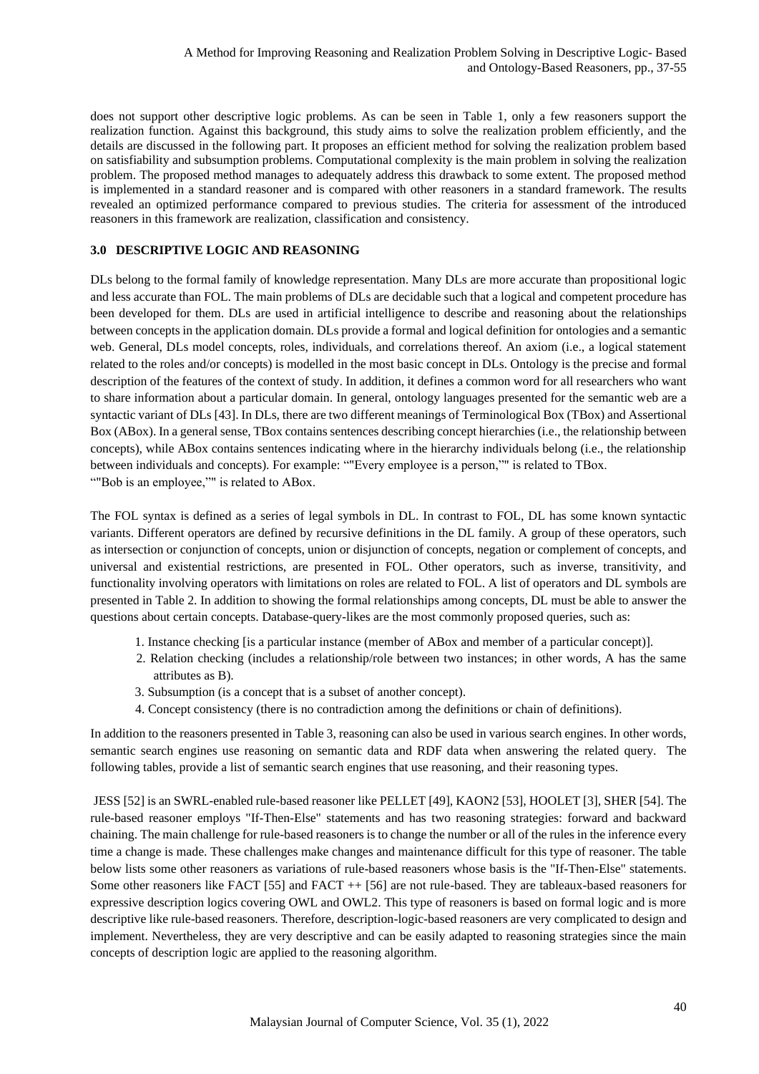does not support other descriptive logic problems. As can be seen in Table 1, only a few reasoners support the realization function. Against this background, this study aims to solve the realization problem efficiently, and the details are discussed in the following part. It proposes an efficient method for solving the realization problem based on satisfiability and subsumption problems. Computational complexity is the main problem in solving the realization problem. The proposed method manages to adequately address this drawback to some extent. The proposed method is implemented in a standard reasoner and is compared with other reasoners in a standard framework. The results revealed an optimized performance compared to previous studies. The criteria for assessment of the introduced reasoners in this framework are realization, classification and consistency.

# **3.0 DESCRIPTIVE LOGIC AND REASONING**

DLs belong to the formal family of knowledge representation. Many DLs are more accurate than propositional logic and less accurate than FOL. The main problems of DLs are decidable such that a logical and competent procedure has been developed for them. DLs are used in artificial intelligence to describe and reasoning about the relationships between concepts in the application domain. DLs provide a formal and logical definition for ontologies and a semantic web. General, DLs model concepts, roles, individuals, and correlations thereof. An axiom (i.e., a logical statement related to the roles and/or concepts) is modelled in the most basic concept in DLs. Ontology is the precise and formal description of the features of the context of study. In addition, it defines a common word for all researchers who want to share information about a particular domain. In general, ontology languages presented for the semantic web are a syntactic variant of DLs [43]. In DLs, there are two different meanings of Terminological Box (TBox) and Assertional Box (ABox). In a general sense, TBox contains sentences describing concept hierarchies (i.e., the relationship between concepts), while ABox contains sentences indicating where in the hierarchy individuals belong (i.e., the relationship between individuals and concepts). For example: ""Every employee is a person,"" is related to TBox. ""Bob is an employee,"" is related to ABox.

The FOL syntax is defined as a series of legal symbols in DL. In contrast to FOL, DL has some known syntactic variants. Different operators are defined by recursive definitions in the DL family. A group of these operators, such as intersection or conjunction of concepts, union or disjunction of concepts, negation or complement of concepts, and universal and existential restrictions, are presented in FOL. Other operators, such as inverse, transitivity, and functionality involving operators with limitations on roles are related to FOL. A list of operators and DL symbols are presented in Table 2. In addition to showing the formal relationships among concepts, DL must be able to answer the questions about certain concepts. Database-query-likes are the most commonly proposed queries, such as:

- 1. Instance checking [is a particular instance (member of ABox and member of a particular concept)].
- 2. Relation checking (includes a relationship/role between two instances; in other words, A has the same attributes as B).
- 3. Subsumption (is a concept that is a subset of another concept).
- 4. Concept consistency (there is no contradiction among the definitions or chain of definitions).

In addition to the reasoners presented in Table 3, reasoning can also be used in various search engines. In other words, semantic search engines use reasoning on semantic data and RDF data when answering the related query. The following tables, provide a list of semantic search engines that use reasoning, and their reasoning types.

JESS [52] is an SWRL-enabled rule-based reasoner like PELLET [49], KAON2 [53], HOOLET [3], SHER [54]. The rule-based reasoner employs "If-Then-Else" statements and has two reasoning strategies: forward and backward chaining. The main challenge for rule-based reasoners is to change the number or all of the rules in the inference every time a change is made. These challenges make changes and maintenance difficult for this type of reasoner. The table below lists some other reasoners as variations of rule-based reasoners whose basis is the "If-Then-Else" statements. Some other reasoners like FACT [55] and FACT ++ [56] are not rule-based. They are tableaux-based reasoners for expressive description logics covering OWL and OWL2. This type of reasoners is based on formal logic and is more descriptive like rule-based reasoners. Therefore, description-logic-based reasoners are very complicated to design and implement. Nevertheless, they are very descriptive and can be easily adapted to reasoning strategies since the main concepts of description logic are applied to the reasoning algorithm.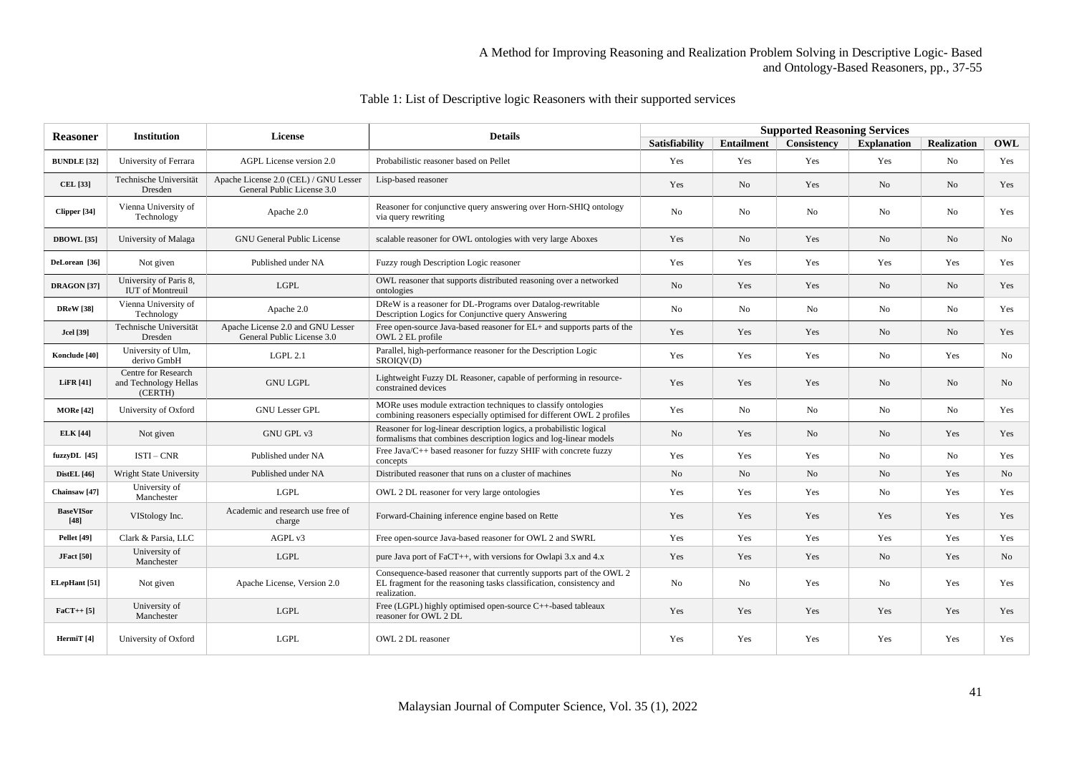| <b>Reasoner</b>            | <b>Institution</b>                                      | <b>License</b>                                                      | <b>Details</b>                                                                                                                                              | <b>Supported Reasoning Services</b> |                |                          |                    |                    |                |
|----------------------------|---------------------------------------------------------|---------------------------------------------------------------------|-------------------------------------------------------------------------------------------------------------------------------------------------------------|-------------------------------------|----------------|--------------------------|--------------------|--------------------|----------------|
|                            |                                                         |                                                                     |                                                                                                                                                             | <b>Satisfiability</b>               |                | Entailment   Consistency | <b>Explanation</b> | <b>Realization</b> | OWL            |
| <b>BUNDLE</b> [32]         | University of Ferrara                                   | AGPL License version 2.0                                            | Probabilistic reasoner based on Pellet                                                                                                                      | Yes                                 | Yes            | Yes                      | Yes                | No                 | Yes            |
| <b>CEL</b> [33]            | Technische Universität<br>Dresden                       | Apache License 2.0 (CEL) / GNU Lesser<br>General Public License 3.0 | Lisp-based reasoner                                                                                                                                         | Yes                                 | No             | Yes                      | No                 | N <sub>o</sub>     | Yes            |
| Clipper [34]               | Vienna University of<br>Technology                      | Apache 2.0                                                          | Reasoner for conjunctive query answering over Horn-SHIQ ontology<br>via query rewriting                                                                     | No                                  | N <sub>o</sub> | No                       | No                 | No                 | Yes            |
| DBOWL <sup>[35]</sup>      | University of Malaga                                    | <b>GNU General Public License</b>                                   | scalable reasoner for OWL ontologies with very large Aboxes                                                                                                 | Yes                                 | N <sub>o</sub> | Yes                      | No                 | No                 | No             |
| DeLorean [36]              | Not given                                               | Published under NA                                                  | Fuzzy rough Description Logic reasoner                                                                                                                      | Yes                                 | Yes            | Yes                      | Yes                | Yes                | Yes            |
| <b>DRAGON</b> [37]         | University of Paris 8,<br><b>IUT</b> of Montreuil       | <b>LGPL</b>                                                         | OWL reasoner that supports distributed reasoning over a networked<br>ontologies                                                                             | N <sub>o</sub>                      | Yes            | Yes                      | N <sub>o</sub>     | No                 | Yes            |
| <b>DReW</b> [38]           | Vienna University of<br>Technology                      | Apache 2.0                                                          | DReW is a reasoner for DL-Programs over Datalog-rewritable<br>Description Logics for Conjunctive query Answering                                            | N <sub>o</sub>                      | N <sub>0</sub> | No                       | N <sub>o</sub>     | No                 | Yes            |
| <b>Jcel</b> [39]           | Technische Universität<br>Dresden                       | Apache License 2.0 and GNU Lesser<br>General Public License 3.0     | Free open-source Java-based reasoner for EL+ and supports parts of the<br>OWL 2 EL profile                                                                  | Yes                                 | Yes            | Yes                      | No                 | No                 | Yes            |
| Konclude [40]              | University of Ulm,<br>derivo GmbH                       | LGPL 2.1                                                            | Parallel, high-performance reasoner for the Description Logic<br>SROIOV(D)                                                                                  | Yes                                 | Yes            | Yes                      | No                 | Yes                | No             |
| <b>LiFR</b> [41]           | Centre for Research<br>and Technology Hellas<br>(CERTH) | <b>GNU LGPL</b>                                                     | Lightweight Fuzzy DL Reasoner, capable of performing in resource-<br>constrained devices                                                                    | Yes                                 | Yes            | Yes                      | No                 | No                 | No             |
| <b>MORe</b> [42]           | University of Oxford                                    | <b>GNU Lesser GPL</b>                                               | MORe uses module extraction techniques to classify ontologies<br>combining reasoners especially optimised for different OWL 2 profiles                      | Yes                                 | No             | No                       | No                 | No                 | Yes            |
| <b>ELK</b> [44]            | Not given                                               | GNU GPL v3                                                          | Reasoner for log-linear description logics, a probabilistic logical<br>formalisms that combines description logics and log-linear models                    | No                                  | Yes            | No                       | N <sub>o</sub>     | Yes                | Yes            |
| fuzzyDL [45]               | $ISTI - CNR$                                            | Published under NA                                                  | Free Java/C++ based reasoner for fuzzy SHIF with concrete fuzzy<br>concepts                                                                                 | Yes                                 | Yes            | Yes                      | N <sub>0</sub>     | No                 | Yes            |
| <b>DistEL</b> [46]         | Wright State University                                 | Published under NA                                                  | Distributed reasoner that runs on a cluster of machines                                                                                                     | No                                  | N <sub>o</sub> | No                       | N <sub>o</sub>     | Yes                | N <sub>o</sub> |
| Chainsaw <sup>[47]</sup>   | University of<br>Manchester                             | <b>LGPL</b>                                                         | OWL 2 DL reasoner for very large ontologies                                                                                                                 | Yes                                 | Yes            | Yes                      | No                 | Yes                | Yes            |
| <b>BaseVISor</b><br>$[48]$ | VIStology Inc.                                          | Academic and research use free of<br>charge                         | Forward-Chaining inference engine based on Rette                                                                                                            | Yes                                 | Yes            | Yes                      | Yes                | Yes                | Yes            |
| <b>Pellet</b> [49]         | Clark & Parsia, LLC                                     | AGPL v3                                                             | Free open-source Java-based reasoner for OWL 2 and SWRL                                                                                                     | Yes                                 | Yes            | Yes                      | Yes                | Yes                | Yes            |
| <b>JFact</b> [50]          | University of<br>Manchester                             | LGPL                                                                | pure Java port of FaCT++, with versions for Owlapi $3.x$ and $4.x$                                                                                          | Yes                                 | Yes            | Yes                      | No                 | Yes                | No             |
| <b>ELepHant</b> [51]       | Not given                                               | Apache License, Version 2.0                                         | Consequence-based reasoner that currently supports part of the OWL 2<br>EL fragment for the reasoning tasks classification, consistency and<br>realization. | No                                  | N <sub>0</sub> | Yes                      | No                 | Yes                | Yes            |
| $FacT++[5]$                | University of<br>Manchester                             | LGPL                                                                | Free (LGPL) highly optimised open-source $C++$ -based tableaux<br>reasoner for OWL 2 DL                                                                     | Yes                                 | Yes            | Yes                      | Yes                | Yes                | Yes            |
| HermiT [4]                 | University of Oxford                                    | <b>LGPL</b>                                                         | OWL 2 DL reasoner                                                                                                                                           | Yes                                 | Yes            | Yes                      | Yes                | Yes                | Yes            |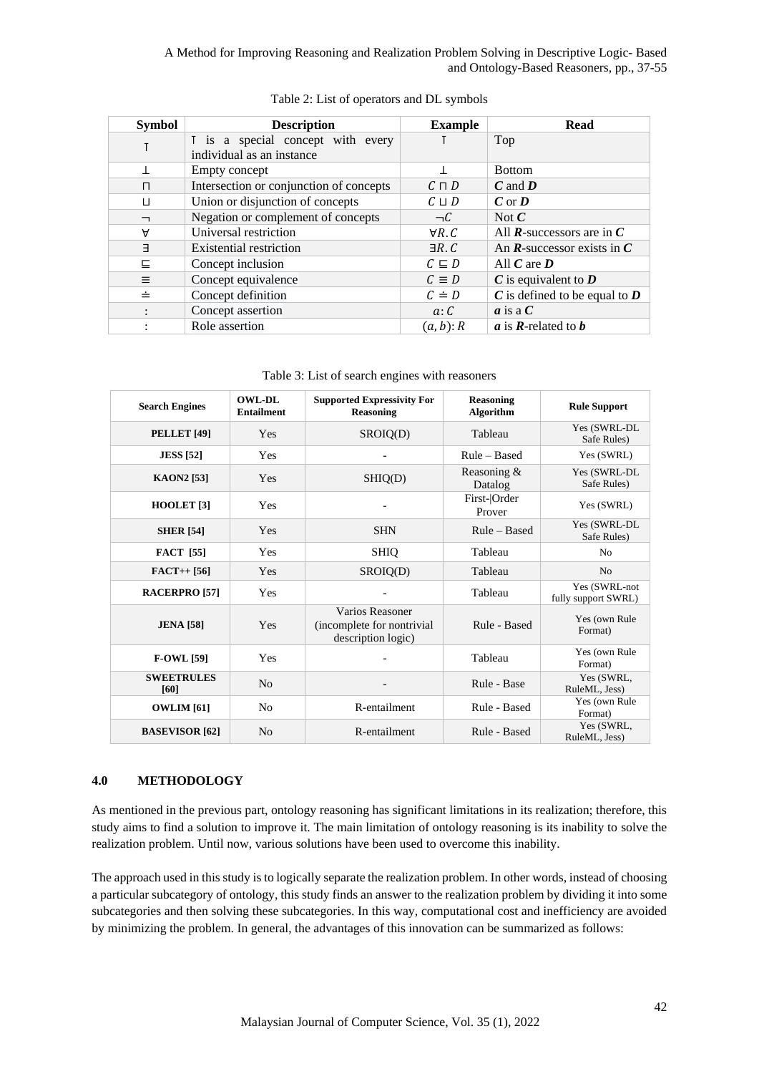| <b>Symbol</b>            | <b>Description</b>                      | <b>Example</b>  | <b>Read</b>                                               |
|--------------------------|-----------------------------------------|-----------------|-----------------------------------------------------------|
|                          | I is a special concept with every       |                 | Top                                                       |
|                          | individual as an instance               |                 |                                                           |
| Τ                        | Empty concept                           |                 | <b>Bottom</b>                                             |
| $\Box$                   | Intersection or conjunction of concepts | $C \sqcap D$    | $C$ and $D$                                               |
| $\perp$                  | Union or disjunction of concepts        | $C \sqcup D$    | $C$ or $D$                                                |
| $\overline{\phantom{0}}$ | Negation or complement of concepts      | $\neg C$        | Not $\mathcal C$                                          |
| A                        | Universal restriction                   | $\forall R. C$  | All $\mathbf{R}$ -successors are in $\mathbf{C}$          |
| $\exists$                | <b>Existential restriction</b>          | $\exists R. C$  | An $\mathbf R$ -successor exists in $\mathbf C$           |
| 드                        | Concept inclusion                       | $C \subseteq D$ | All $C$ are $D$                                           |
| $\equiv$                 | Concept equivalence                     | $C \equiv D$    | $\boldsymbol{C}$ is equivalent to $\boldsymbol{D}$        |
| ≐                        | Concept definition                      | $C \doteq D$    | $C$ is defined to be equal to $D$                         |
|                          | Concept assertion                       | a: C            | $\boldsymbol{a}$ is a $\boldsymbol{C}$                    |
|                          | Role assertion                          | $(a, b)$ : R    | $\boldsymbol{a}$ is <b>R</b> -related to $\boldsymbol{b}$ |

| Table 2: List of operators and DL symbols |  |
|-------------------------------------------|--|
|-------------------------------------------|--|

Table 3: List of search engines with reasoners

| <b>Search Engines</b>     | <b>OWL-DL</b><br><b>Entailment</b> | <b>Supported Expressivity For</b><br><b>Reasoning</b>                | <b>Reasoning</b><br><b>Algorithm</b> | <b>Rule Support</b>                  |
|---------------------------|------------------------------------|----------------------------------------------------------------------|--------------------------------------|--------------------------------------|
| <b>PELLET</b> [49]        | Yes                                | SROIQ(D)                                                             | Tableau                              | Yes (SWRL-DL<br>Safe Rules)          |
| <b>JESS</b> [52]          | <b>Yes</b>                         |                                                                      | Rule – Based                         | Yes (SWRL)                           |
| <b>KAON2</b> [53]         | Yes                                | SHIQ(D)                                                              | Reasoning &<br>Datalog               | Yes (SWRL-DL<br>Safe Rules)          |
| HOOLET <sup>[3]</sup>     | Yes                                |                                                                      | First- Order<br>Prover               | Yes (SWRL)                           |
| <b>SHER</b> [54]          | <b>Yes</b>                         | <b>SHN</b>                                                           | Rule – Based                         | Yes (SWRL-DL<br>Safe Rules)          |
| <b>FACT</b> [55]          | Yes                                | <b>SHIQ</b>                                                          | Tableau                              | N <sub>0</sub>                       |
| $FACT++[56]$              | Yes                                | SROIQ(D)                                                             | Tableau                              | N <sub>0</sub>                       |
| <b>RACERPRO [57]</b>      | Yes                                |                                                                      | Tableau                              | Yes (SWRL-not<br>fully support SWRL) |
| <b>JENA</b> [58]          | Yes                                | Varios Reasoner<br>(incomplete for nontrivial)<br>description logic) | Rule - Based                         | Yes (own Rule<br>Format)             |
| <b>F-OWL [59]</b>         | Yes                                |                                                                      | Tableau                              | Yes (own Rule<br>Format)             |
| <b>SWEETRULES</b><br>[60] | N <sub>o</sub>                     |                                                                      | Rule - Base                          | Yes (SWRL,<br>RuleML, Jess)          |
| <b>OWLIM</b> [61]         | N <sub>0</sub>                     | R-entailment                                                         | Rule - Based                         | Yes (own Rule<br>Format)             |
| <b>BASEVISOR</b> [62]     | N <sub>o</sub>                     | R-entailment                                                         | Rule - Based                         | Yes (SWRL,<br>RuleML, Jess)          |

### **4.0 METHODOLOGY**

As mentioned in the previous part, ontology reasoning has significant limitations in its realization; therefore, this study aims to find a solution to improve it. The main limitation of ontology reasoning is its inability to solve the realization problem. Until now, various solutions have been used to overcome this inability.

The approach used in this study is to logically separate the realization problem. In other words, instead of choosing a particular subcategory of ontology, this study finds an answer to the realization problem by dividing it into some subcategories and then solving these subcategories. In this way, computational cost and inefficiency are avoided by minimizing the problem. In general, the advantages of this innovation can be summarized as follows: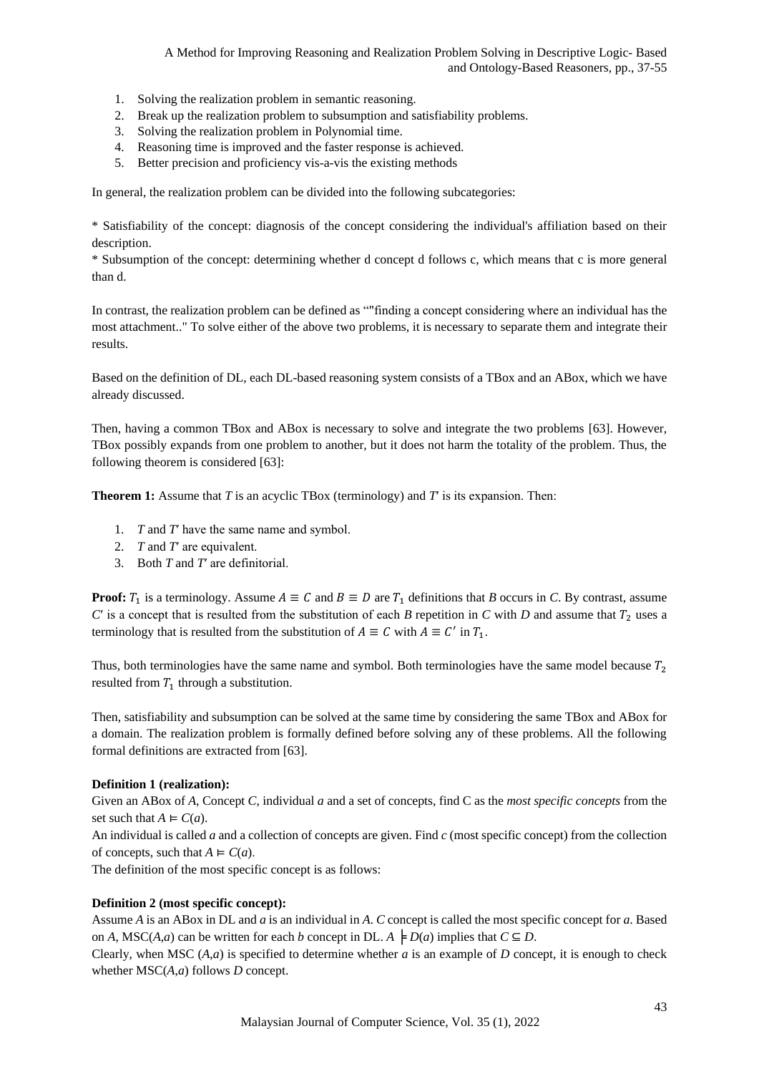- 1. Solving the realization problem in semantic reasoning.
- 2. Break up the realization problem to subsumption and satisfiability problems.
- 3. Solving the realization problem in Polynomial time.
- 4. Reasoning time is improved and the faster response is achieved.
- 5. Better precision and proficiency vis-a-vis the existing methods

In general, the realization problem can be divided into the following subcategories:

\* Satisfiability of the concept: diagnosis of the concept considering the individual's affiliation based on their description.

\* Subsumption of the concept: determining whether d concept d follows c, which means that c is more general than d.

In contrast, the realization problem can be defined as ""finding a concept considering where an individual has the most attachment.." To solve either of the above two problems, it is necessary to separate them and integrate their results.

Based on the definition of DL, each DL-based reasoning system consists of a TBox and an ABox, which we have already discussed.

Then, having a common TBox and ABox is necessary to solve and integrate the two problems [\[63\]](#page-17-0). However, TBox possibly expands from one problem to another, but it does not harm the totality of the problem. Thus, the following theorem is considered [\[63\]](#page-17-0):

**Theorem 1:** Assume that *T* is an acyclic TBox (terminology) and *T*′ is its expansion. Then:

- 1. *T* and *T*′ have the same name and symbol.
- 2. *T* and *T*′ are equivalent.
- 3. Both *T* and *T*′ are definitorial.

**Proof:**  $T_1$  is a terminology. Assume  $A \equiv C$  and  $B \equiv D$  are  $T_1$  definitions that *B* occurs in *C*. By contrast, assume  $C'$  is a concept that is resulted from the substitution of each *B* repetition in  $C$  with  $D$  and assume that  $T_2$  uses a terminology that is resulted from the substitution of  $A \equiv C$  with  $A \equiv C'$  in  $T_1$ .

Thus, both terminologies have the same name and symbol. Both terminologies have the same model because  $T_2$ resulted from  $T_1$  through a substitution.

Then, satisfiability and subsumption can be solved at the same time by considering the same TBox and ABox for a domain. The realization problem is formally defined before solving any of these problems. All the following formal definitions are extracted from [\[63\]](#page-17-0).

### **Definition 1 (realization):**

Given an ABox of *A*, Concept *C*, individual *a* and a set of concepts, find C as the *most specific concepts* from the set such that  $A \models C(a)$ .

An individual is called *a* and a collection of concepts are given. Find *c* (most specific concept) from the collection of concepts, such that  $A \models C(a)$ .

The definition of the most specific concept is as follows:

### **Definition 2 (most specific concept):**

Assume *A* is an ABox in DL and *a* is an individual in *A*. *C* concept is called the most specific concept for *a*. Based on *A*, MSC(*A*,*a*) can be written for each *b* concept in DL.  $A \models D(a)$  implies that  $C \subseteq D$ .

Clearly, when MSC  $(A,a)$  is specified to determine whether *a* is an example of *D* concept, it is enough to check whether MSC(*A*,*a*) follows *D* concept.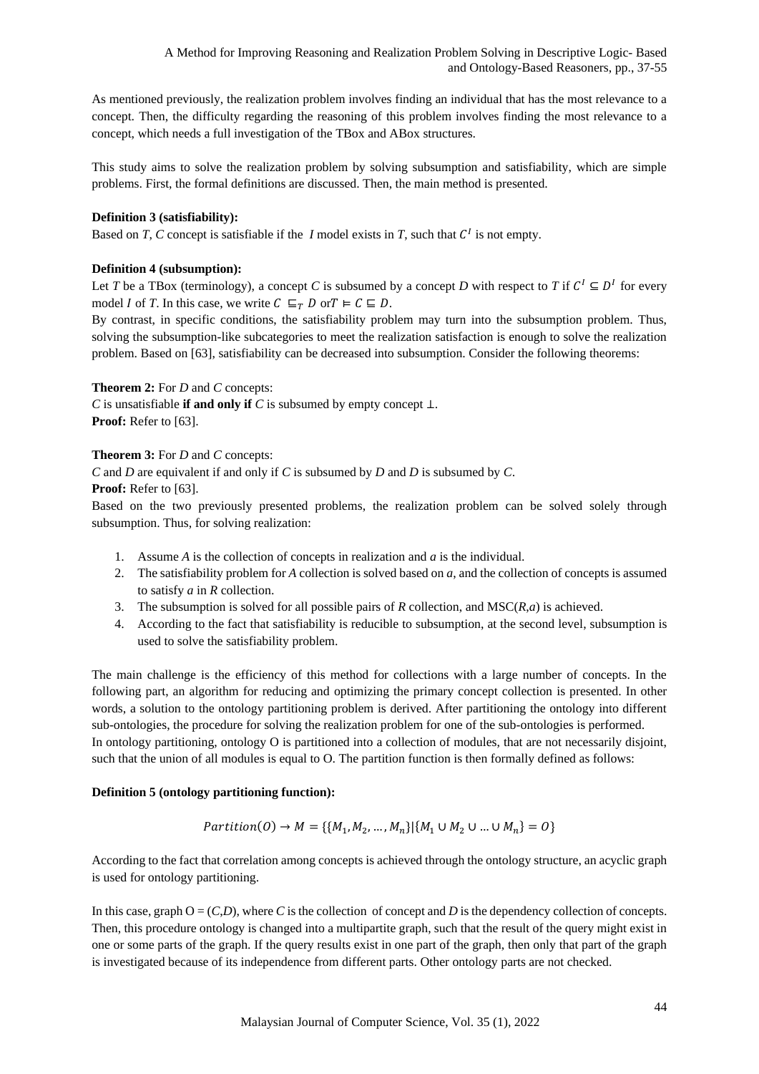As mentioned previously, the realization problem involves finding an individual that has the most relevance to a concept. Then, the difficulty regarding the reasoning of this problem involves finding the most relevance to a concept, which needs a full investigation of the TBox and ABox structures.

This study aims to solve the realization problem by solving subsumption and satisfiability, which are simple problems. First, the formal definitions are discussed. Then, the main method is presented.

# **Definition 3 (satisfiability):**

Based on *T*, *C* concept is satisfiable if the *I* model exists in *T*, such that  $C<sup>I</sup>$  is not empty.

# **Definition 4 (subsumption):**

Let *T* be a TBox (terminology), a concept *C* is subsumed by a concept *D* with respect to *T* if  $C^1 \subseteq D^1$  for every model *I* of *T*. In this case, we write  $C \subseteq_T D$  or  $T \models C \subseteq D$ .

By contrast, in specific conditions, the satisfiability problem may turn into the subsumption problem. Thus, solving the subsumption-like subcategories to meet the realization satisfaction is enough to solve the realization problem. Based on [\[63\]](#page-17-0), satisfiability can be decreased into subsumption. Consider the following theorems:

**Theorem 2:** For *D* and *C* concepts: *C* is unsatisfiable **if and only if** *C* is subsumed by empty concept ⊥. Proof: Refer to [\[63\]](#page-17-0).

# **Theorem 3:** For *D* and *C* concepts:

*C* and *D* are equivalent if and only if *C* is subsumed by *D* and *D* is subsumed by *C*.

Proof: Refer to [\[63\]](#page-17-0).

Based on the two previously presented problems, the realization problem can be solved solely through subsumption. Thus, for solving realization:

- 1. Assume *A* is the collection of concepts in realization and *a* is the individual.
- 2. The satisfiability problem for *A* collection is solved based on *a*, and the collection of concepts is assumed to satisfy *a* in *R* collection.
- 3. The subsumption is solved for all possible pairs of *R* collection, and MSC(*R*,*a*) is achieved.
- 4. According to the fact that satisfiability is reducible to subsumption, at the second level, subsumption is used to solve the satisfiability problem.

The main challenge is the efficiency of this method for collections with a large number of concepts. In the following part, an algorithm for reducing and optimizing the primary concept collection is presented. In other words, a solution to the ontology partitioning problem is derived. After partitioning the ontology into different sub-ontologies, the procedure for solving the realization problem for one of the sub-ontologies is performed. In ontology partitioning, ontology O is partitioned into a collection of modules, that are not necessarily disjoint, such that the union of all modules is equal to O. The partition function is then formally defined as follows:

# **Definition 5 (ontology partitioning function):**

*Partition*(
$$
O
$$
)  $\rightarrow$   $M = \{ \{M_1, M_2, ..., M_n \} | \{M_1 \cup M_2 \cup ... \cup M_n \} = O \}$ 

According to the fact that correlation among concepts is achieved through the ontology structure, an acyclic graph is used for ontology partitioning.

In this case, graph  $O = (C,D)$ , where *C* is the collection of concept and *D* is the dependency collection of concepts. Then, this procedure ontology is changed into a multipartite graph, such that the result of the query might exist in one or some parts of the graph. If the query results exist in one part of the graph, then only that part of the graph is investigated because of its independence from different parts. Other ontology parts are not checked.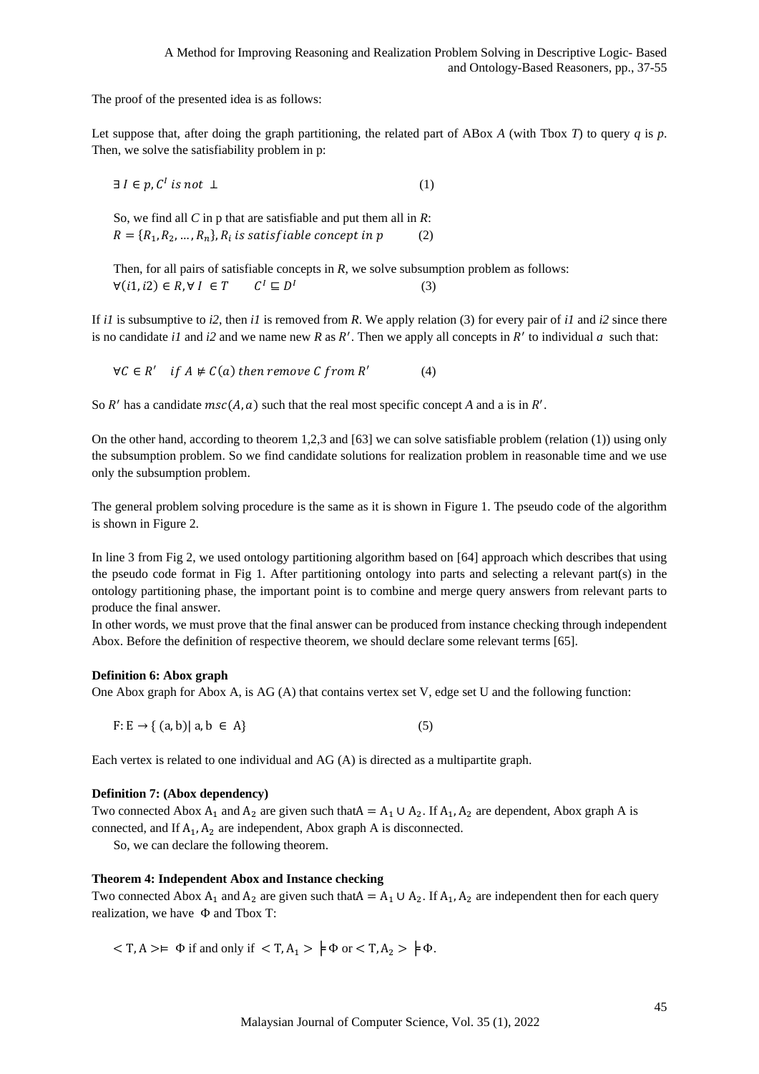The proof of the presented idea is as follows:

Let suppose that, after doing the graph partitioning, the related part of ABox *A* (with Tbox *T*) to query *q* is *p*. Then, we solve the satisfiability problem in p:

 $\exists I \in p, C^I \text{ is not } \bot$  (1)

So, we find all *C* in p that are satisfiable and put them all in *R*:  $R = \{R_1, R_2, ..., R_n\}, R_i$  is satisfiable concept in  $p$  (2)

Then, for all pairs of satisfiable concepts in *R*, we solve subsumption problem as follows:  $\forall (i1, i2) \in R, \forall I \in T$  $\Gamma \sqsubseteq D^I$ (3)

If *i1* is subsumptive to *i2*, then *i1* is removed from *R*. We apply relation (3) for every pair of *i1* and *i2* since there is no candidate *i1* and *i2* and we name new R as R'. Then we apply all concepts in R' to individual  $a$  such that:

 $\forall C \in R'$  if  $A \not\in C(a)$  then remove C from R' (4)

So  $R'$  has a candidate  $msc(A, a)$  such that the real most specific concept  $A$  and a is in  $R'$ .

On the other hand, according to theorem 1,2,3 and [\[63\]](#page-17-0) we can solve satisfiable problem (relation (1)) using only the subsumption problem. So we find candidate solutions for realization problem in reasonable time and we use only the subsumption problem.

The general problem solving procedure is the same as it is shown in Figure 1. The pseudo code of the algorithm is shown in Figure 2.

In line 3 from Fig 2, we used ontology partitioning algorithm based on [\[64\]](#page-17-1) approach which describes that using the pseudo code format in Fig 1. After partitioning ontology into parts and selecting a relevant part(s) in the ontology partitioning phase, the important point is to combine and merge query answers from relevant parts to produce the final answer.

In other words, we must prove that the final answer can be produced from instance checking through independent Abox. Before the definition of respective theorem, we should declare some relevant terms [\[65\]](#page-18-0).

### **Definition 6: Abox graph**

One Abox graph for Abox A, is AG (A) that contains vertex set V, edge set U and the following function:

 $F: E \to \{ (a, b) | a, b \in A \}$  (5)

Each vertex is related to one individual and AG (A) is directed as a multipartite graph.

### **Definition 7: (Abox dependency)**

Two connected Abox  $A_1$  and  $A_2$  are given such that  $A = A_1 \cup A_2$ . If  $A_1$ ,  $A_2$  are dependent, Abox graph A is connected, and If  $A_1$ ,  $A_2$  are independent, Abox graph A is disconnected.

So, we can declare the following theorem.

#### **Theorem 4: Independent Abox and Instance checking**

Two connected Abox  $A_1$  and  $A_2$  are given such that  $A = A_1 \cup A_2$ . If  $A_1, A_2$  are independent then for each query realization, we have Φ and Tbox T:

 $\langle T, A \rangle = \Phi$  if and only if  $\langle T, A_1 \rangle = \Phi$  or  $\langle T, A_2 \rangle = \Phi \Phi$ .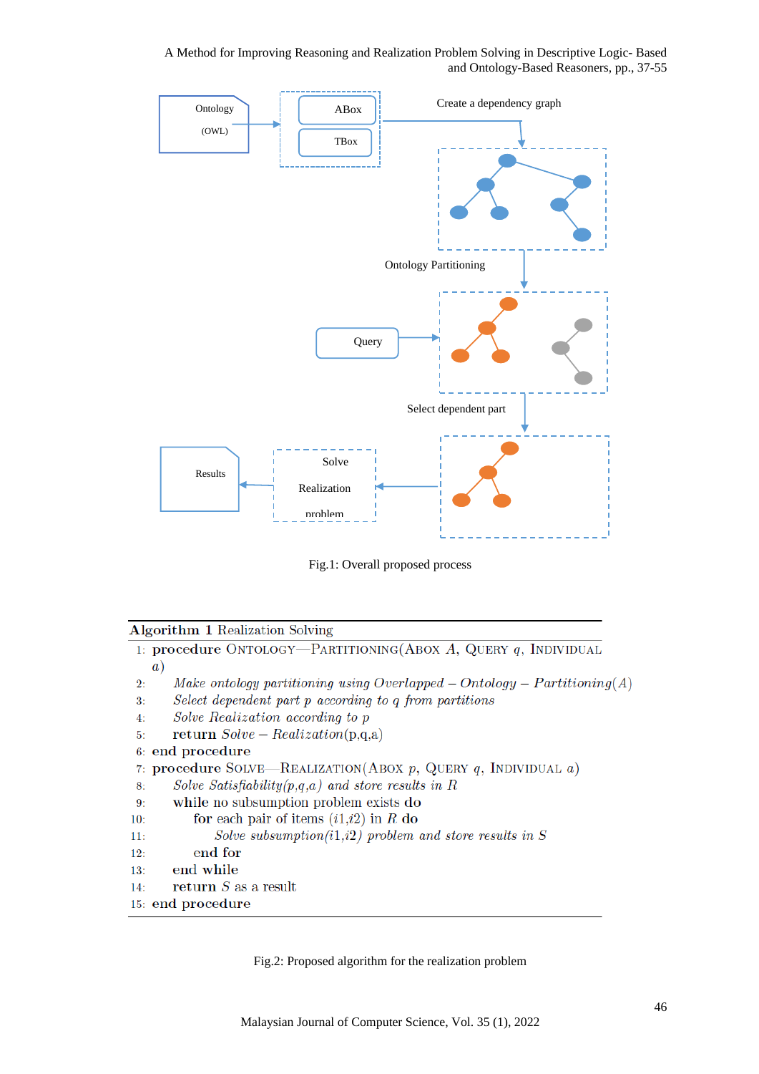

Fig.1: Overall proposed process

### Algorithm 1 Realization Solving

1: procedure ONTOLOGY—PARTITIONING(ABOX A, QUERY  $q$ , INDIVIDUAL  $(a)$ Make ontology partitioning using Overlapped – Ontology –  $Partitioning(A)$  $2:$ Select dependent part p according to q from partitions  $3:$  $4:$ Solve Realization according to p return  $Solve - Realization(p,q,a)$  $5:$ 6: end procedure 7: procedure SOLVE—REALIZATION(ABOX p, QUERY q, INDIVIDUAL a) Solve Satisfiability $(p,q,a)$  and store results in R 8: while no subsumption problem exists do  $9:$ for each pair of items  $(i1,i2)$  in R do  $10:$ Solve subsumption(i1,i2) problem and store results in  $S$  $11:$ end for  $12:$  $13:$ end while

return  $S$  as a result  $14:$ 

```
15: end procedure
```
Fig.2: Proposed algorithm for the realization problem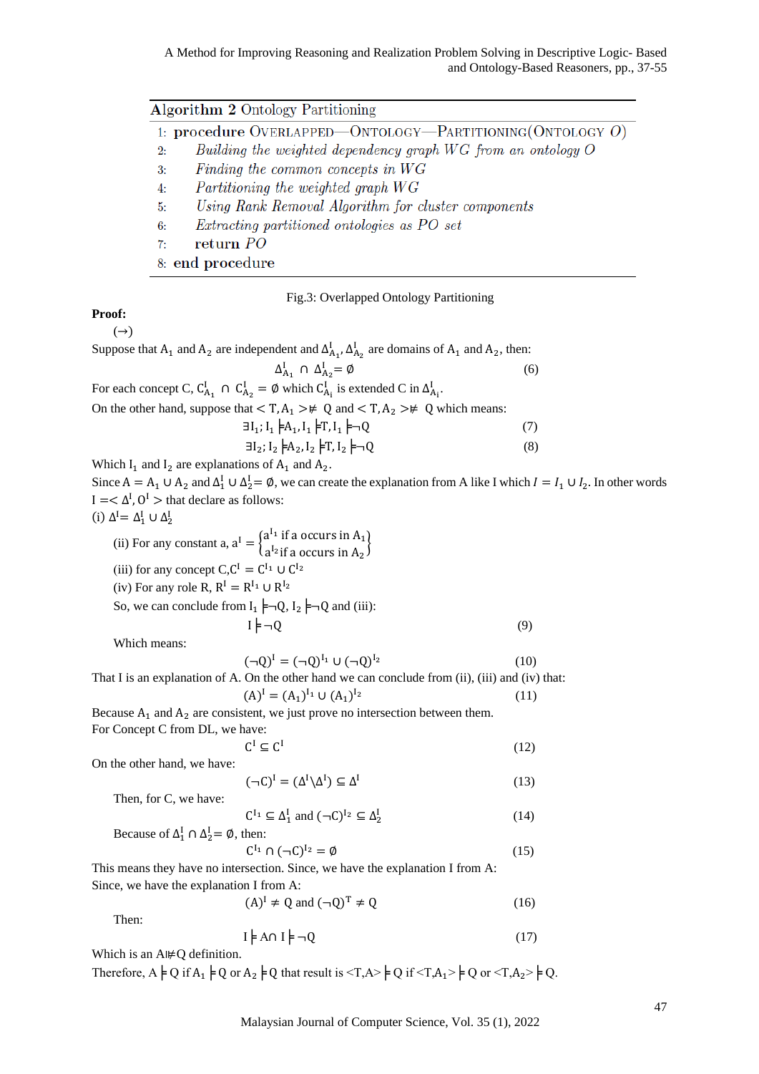|    | <b>Algorithm 2 Ontology Partitioning</b>                         |
|----|------------------------------------------------------------------|
|    | 1: procedure OVERLAPPED—ONTOLOGY—PARTITIONING (ONTOLOGY $O$ )    |
| 2: | Building the weighted dependency graph $WG$ from an ontology $O$ |
| 3: | Finding the common concepts in WG                                |
| 4: | Partitioning the weighted graph WG                               |
| 5: | Using Rank Removal Algorithm for cluster components              |
| 6: | Extracting partitioned ontologies as PO set                      |
| 7: | return PO                                                        |
|    | 8: end procedure                                                 |

Fig.3: Overlapped Ontology Partitioning

### **Proof:**

 $(\rightarrow)$ Suppose that  $A_1$  and  $A_2$  are independent and  $\Delta_{A_1}^I$ ,  $\Delta_{A_2}^I$  are domains of  $A_1$  and  $A_2$ , then:  $\Delta_{A_1}^I \cap \Delta_{A_2}^I = \emptyset$  (6) For each concept C,  $C_{A_1}^I \cap C_{A_2}^I = \emptyset$  which  $C_{A_i}^I$  is extended C in  $\Delta_{A_i}^I$ . On the other hand, suppose that  $\langle T, A_1 \rangle \neq Q$  and  $\langle T, A_2 \rangle \neq Q$  which means:  $\exists I_1; I_1 \not\models A_1, I_1 \not\models T, I_1 \not\models \neg Q$  (7)  $\exists I_2; I_2 \models A_2, I_2 \models T, I_2 \models \neg Q$  (8) Which  $I_1$  and  $I_2$  are explanations of  $A_1$  and  $A_2$ . Since  $A = A_1 \cup A_2$  and  $\Delta_1^I \cup \Delta_2^I = \emptyset$ , we can create the explanation from A like I which  $I = I_1 \cup I_2$ . In other words  $I = <\Delta^I$ ,  $O^I$  > that declare as follows: (i)  $\Delta^I = \Delta_1^I \cup \Delta_2^I$ (ii) For any constant a,  $a^I = \begin{cases} a^{I_1} & \text{if a occurs in } A_1 \\ a^{I_1} & \text{if a occurs in } A_2 \end{cases}$  $a^{I_2}$  if a occurs in  $A_2$ (iii) for any concept  $C, C^I = C^{I_1} \cup C^{I_2}$ (iv) For any role R,  $R^I = R^{I_1} \cup R^{I_2}$ So, we can conclude from  $I_1 \models \neg Q$ ,  $I_2 \models \neg Q$  and (iii):  $I \not\models \neg 0$  (9) Which means:  $(\neg Q)^{I} = (\neg Q)^{I_1} \cup (\neg Q)$  $(10)$ That I is an explanation of A. On the other hand we can conclude from (ii), (iii) and (iv) that:  $(A)^{I} = (A_1)^{I_1} \cup (A_1)$  $(11)$ Because  $A_1$  and  $A_2$  are consistent, we just prove no intersection between them. For Concept C from DL, we have:  $C^I \subseteq C^I$  (12) On the other hand, we have:  $(\neg C)^I = (\Delta^I \setminus \Delta^I) \subseteq \Delta^I$  (13) Then, for C, we have:  $C^{I_1} \subseteq \Delta_1^I$  and  $(\neg C)^{I_2} \subseteq \Delta_2^I$  (14) Because of  $\Delta_1^I \cap \Delta_2^I = \emptyset$ , then:  $C^{I_1} \cap (\neg C)^{I_2} = \emptyset$  (15) This means they have no intersection. Since, we have the explanation I from A: Since, we have the explanation I from A:  $(A)^{I} \neq Q$  and  $(\neg Q)^{T} \neq Q$  (16) Then:  $I \models A \cap I \models \neg Q$  (17) Which is an A⊯Q definition.

Therefore,  $A \models Q$  if  $A_1 \models Q$  or  $A_2 \models Q$  that result is  $\langle T, A \rangle \models Q$  if  $\langle T, A_1 \rangle \models Q$  or  $\langle T, A_2 \rangle \models Q$ .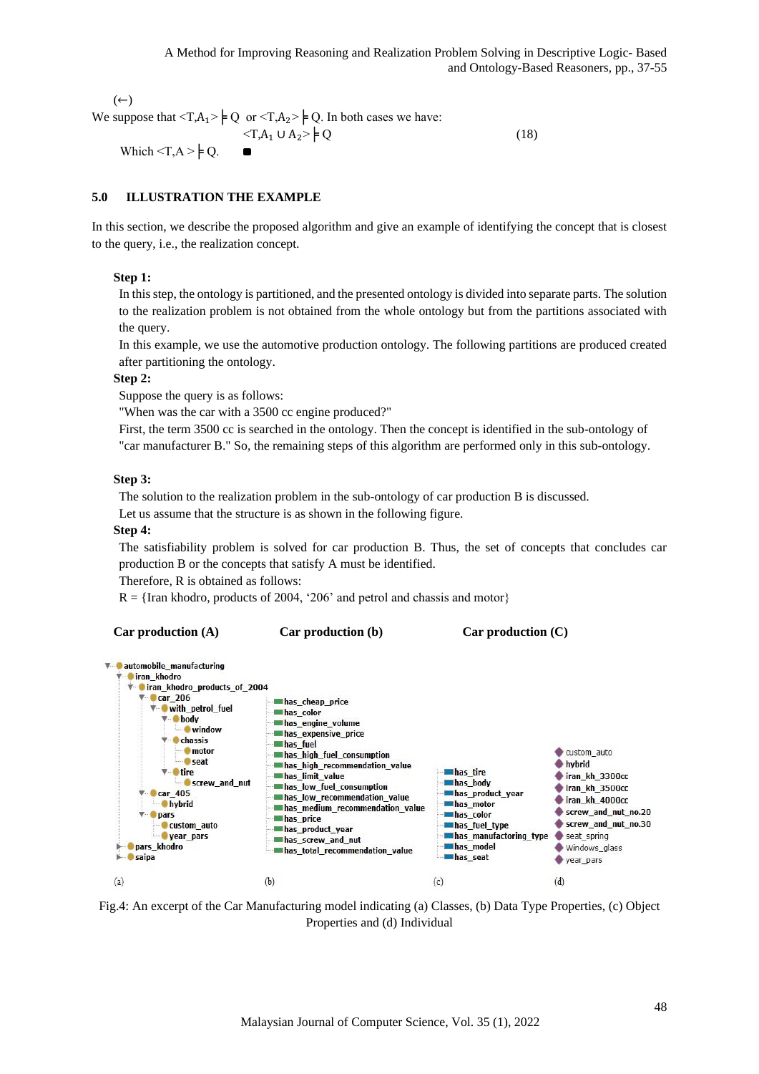$(\leftarrow)$ We suppose that  $\langle T, A_1 \rangle \models Q$  or  $\langle T, A_2 \rangle \models Q$ . In both cases we have:  $\langle T, A_1 \cup A_2 \rangle \neq Q$  (18)

# Which  $\langle T, A \rangle \neq Q$ .

# **5.0 ILLUSTRATION THE EXAMPLE**

In this section, we describe the proposed algorithm and give an example of identifying the concept that is closest to the query, i.e., the realization concept.

### **Step 1:**

In this step, the ontology is partitioned, and the presented ontology is divided into separate parts. The solution to the realization problem is not obtained from the whole ontology but from the partitions associated with the query.

In this example, we use the automotive production ontology. The following partitions are produced created after partitioning the ontology.

### **Step 2:**

Suppose the query is as follows:

"When was the car with a 3500 cc engine produced?"

First, the term 3500 cc is searched in the ontology. Then the concept is identified in the sub-ontology of "car manufacturer B." So, the remaining steps of this algorithm are performed only in this sub-ontology.

### **Step 3:**

The solution to the realization problem in the sub-ontology of car production B is discussed.

Let us assume that the structure is as shown in the following figure.

#### **Step 4:**

The satisfiability problem is solved for car production B. Thus, the set of concepts that concludes car production B or the concepts that satisfy A must be identified.

Therefore, R is obtained as follows:

 $R = \{$ Iran khodro, products of 2004, '206' and petrol and chassis and motor $\}$ 

```
Car production (A) Car production (b) Car production (C)
```


Fig.4: An excerpt of the Car Manufacturing model indicating (a) Classes, (b) Data Type Properties, (c) Object Properties and (d) Individual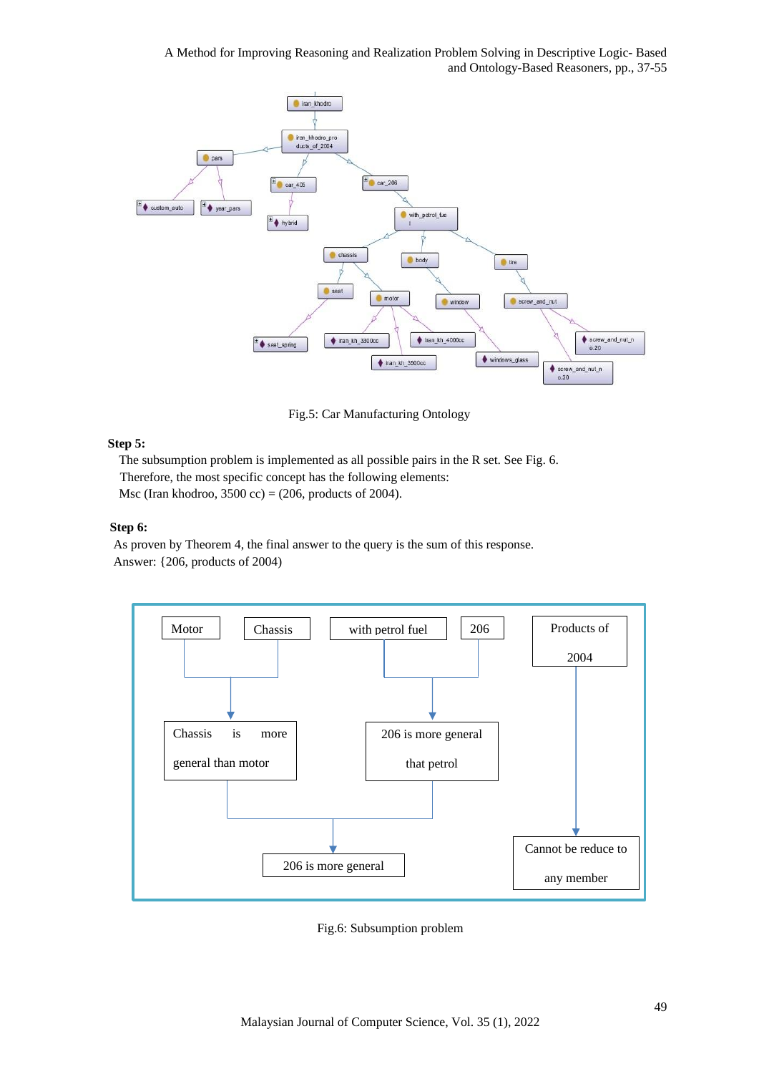

Fig.5: Car Manufacturing Ontology

# **Step 5:**

The subsumption problem is implemented as all possible pairs in the R set. See Fig. 6. Therefore, the most specific concept has the following elements: Msc (Iran khodroo, 3500 cc) =  $(206, \text{ products of } 2004)$ .

### **Step 6:**

As proven by Theorem 4, the final answer to the query is the sum of this response. Answer: {206, products of 2004)



Fig.6: Subsumption problem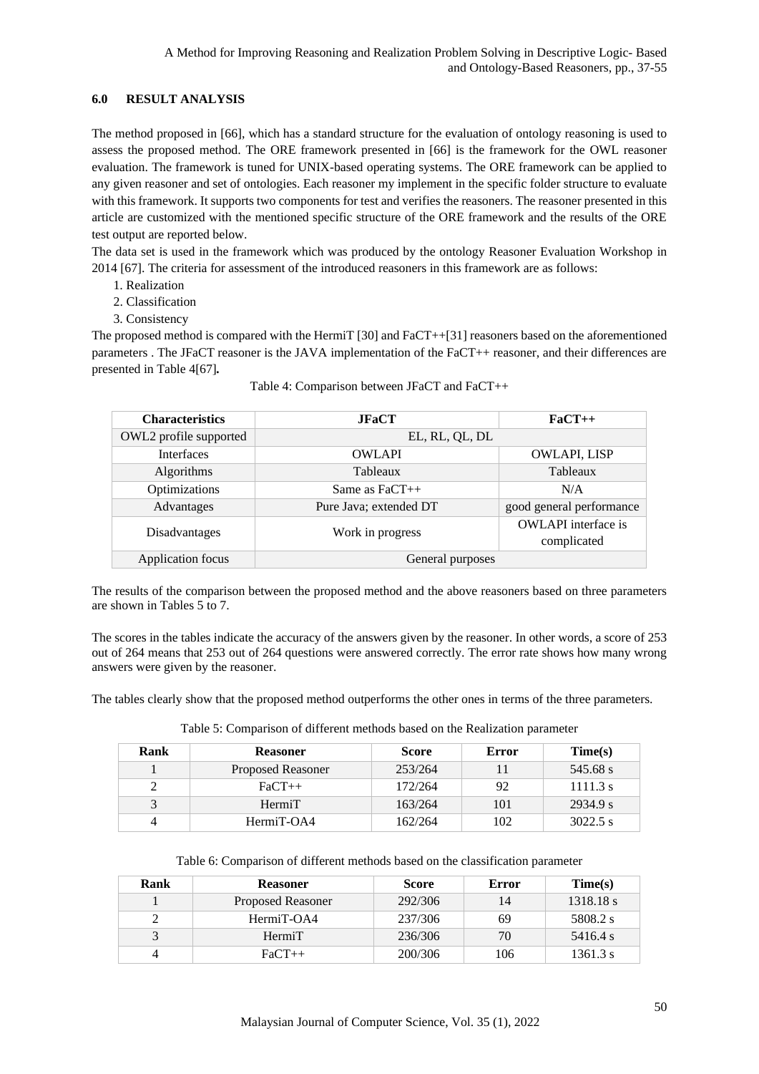# **6.0 RESULT ANALYSIS**

The method proposed in [\[66\]](#page-18-1), which has a standard structure for the evaluation of ontology reasoning is used to assess the proposed method. The ORE framework presented in [66] is the framework for the OWL reasoner evaluation. The framework is tuned for UNIX-based operating systems. The ORE framework can be applied to any given reasoner and set of ontologies. Each reasoner my implement in the specific folder structure to evaluate with this framework. It supports two components for test and verifies the reasoners. The reasoner presented in this article are customized with the mentioned specific structure of the ORE framework and the results of the ORE test output are reported below.

The data set is used in the framework which was produced by the ontology Reasoner Evaluation Workshop in 2014 [\[67\]](#page-18-2). The criteria for assessment of the introduced reasoners in this framework are as follows:

- 1. Realization
- 2. Classification
- 3. Consistency

The proposed method is compared with the HermiT [\[30\]](#page-14-0) and FaCT++[\[31\]](#page-14-1) reasoners based on the aforementioned parameters . The JFaCT reasoner is the JAVA implementation of the FaCT++ reasoner, and their differences are presented in Table 4[\[67\]](#page-18-2)*.*

| <b>Characteristics</b> | JFACT                  | $FaCT++$                   |
|------------------------|------------------------|----------------------------|
| OWL2 profile supported | EL, RL, QL, DL         |                            |
| <b>Interfaces</b>      | <b>OWLAPI</b>          | <b>OWLAPI, LISP</b>        |
| Algorithms             | Tableaux               | Tableaux                   |
| Optimizations          | Same as $FaCT++$       | N/A                        |
| Advantages             | Pure Java; extended DT | good general performance   |
| Disadvantages          | Work in progress       | <b>OWLAPI</b> interface is |
|                        |                        | complicated                |
| Application focus      | General purposes       |                            |

| Table 4: Comparison between JFaCT and FaCT++ |  |  |
|----------------------------------------------|--|--|
|                                              |  |  |

The results of the comparison between the proposed method and the above reasoners based on three parameters are shown in Tables 5 to 7.

The scores in the tables indicate the accuracy of the answers given by the reasoner. In other words, a score of 253 out of 264 means that 253 out of 264 questions were answered correctly. The error rate shows how many wrong answers were given by the reasoner.

The tables clearly show that the proposed method outperforms the other ones in terms of the three parameters.

| Rank         | <b>Reasoner</b>   | <b>Score</b> | Error | Time(s)    |
|--------------|-------------------|--------------|-------|------------|
|              | Proposed Reasoner | 253/264      |       | 545.68 s   |
|              | $FaCT++$          | 172/264      | 92    | 1111.3 s   |
| $\mathbf{R}$ | HermiT            | 163/264      | 101   | 2934.9 s   |
| 4            | HermiT-OA4        | 162/264      | 102   | $3022.5$ s |

Table 5: Comparison of different methods based on the Realization parameter

| Table 6: Comparison of different methods based on the classification parameter |  |  |  |  |
|--------------------------------------------------------------------------------|--|--|--|--|
|--------------------------------------------------------------------------------|--|--|--|--|

| Rank | <b>Reasoner</b>          | <b>Score</b> | Error | Time(s)   |
|------|--------------------------|--------------|-------|-----------|
|      | <b>Proposed Reasoner</b> | 292/306      | 14    | 1318.18 s |
|      | HermiT-OA4               | 237/306      | 69    | 5808.2 s  |
|      | HermiT                   | 236/306      | 70    | 5416.4 s  |
|      | $FaCT++$                 | 200/306      | 106   | 1361.3 s  |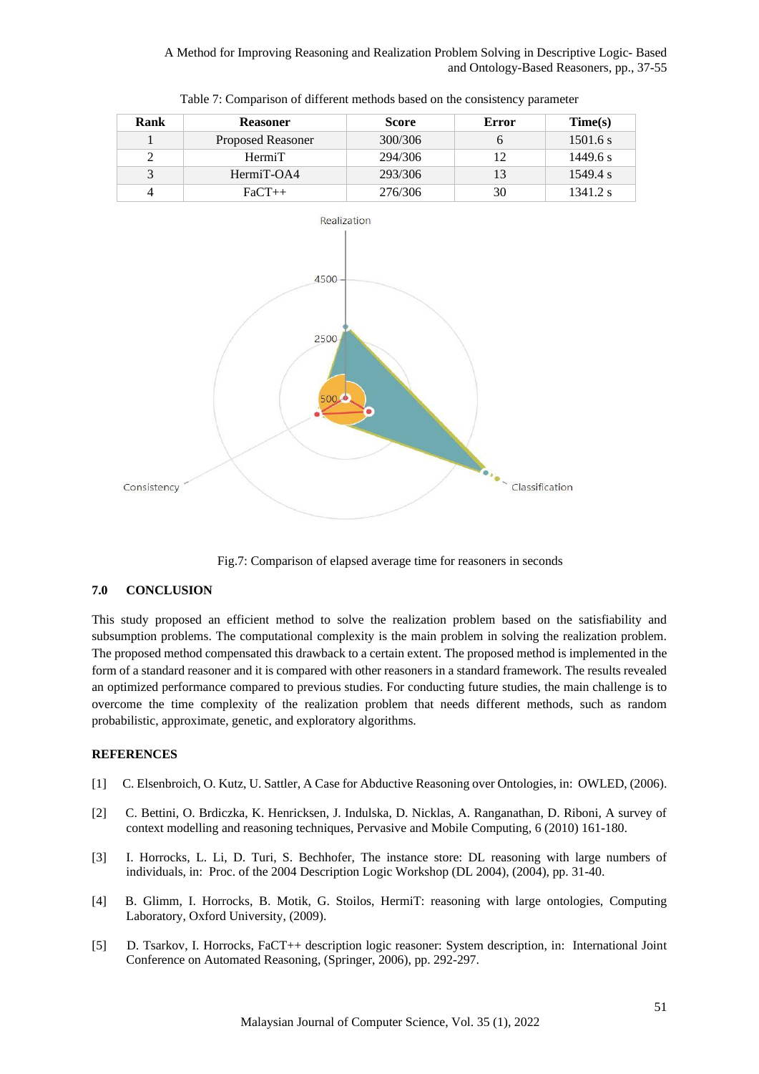| Rank | <b>Reasoner</b>          | <b>Score</b> | Error | Time(s)  |
|------|--------------------------|--------------|-------|----------|
|      | <b>Proposed Reasoner</b> | 300/306      |       | 1501.6 s |
| 2    | HermiT                   | 294/306      | 12    | 1449.6 s |
| 3    | HermiT-OA4               | 293/306      |       | 1549.4 s |
|      | $FaCT++$                 | 276/306      | 30    | 1341.2 s |





Fig.7: Comparison of elapsed average time for reasoners in seconds

### **7.0 CONCLUSION**

This study proposed an efficient method to solve the realization problem based on the satisfiability and subsumption problems. The computational complexity is the main problem in solving the realization problem. The proposed method compensated this drawback to a certain extent. The proposed method is implemented in the form of a standard reasoner and it is compared with other reasoners in a standard framework. The results revealed an optimized performance compared to previous studies. For conducting future studies, the main challenge is to overcome the time complexity of the realization problem that needs different methods, such as random probabilistic, approximate, genetic, and exploratory algorithms.

### **REFERENCES**

- [1] C. Elsenbroich, O. Kutz, U. Sattler, A Case for Abductive Reasoning over Ontologies, in: OWLED, (2006).
- [2] C. Bettini, O. Brdiczka, K. Henricksen, J. Indulska, D. Nicklas, A. Ranganathan, D. Riboni, A survey of context modelling and reasoning techniques, Pervasive and Mobile Computing, 6 (2010) 161-180.
- [3] I. Horrocks, L. Li, D. Turi, S. Bechhofer, The instance store: DL reasoning with large numbers of individuals, in: Proc. of the 2004 Description Logic Workshop (DL 2004), (2004), pp. 31-40.
- <span id="page-14-0"></span>[4] B. Glimm, I. Horrocks, B. Motik, G. Stoilos, HermiT: reasoning with large ontologies, Computing Laboratory, Oxford University, (2009).
- <span id="page-14-1"></span>[5] D. Tsarkov, I. Horrocks, FaCT++ description logic reasoner: System description, in: International Joint Conference on Automated Reasoning, (Springer, 2006), pp. 292-297.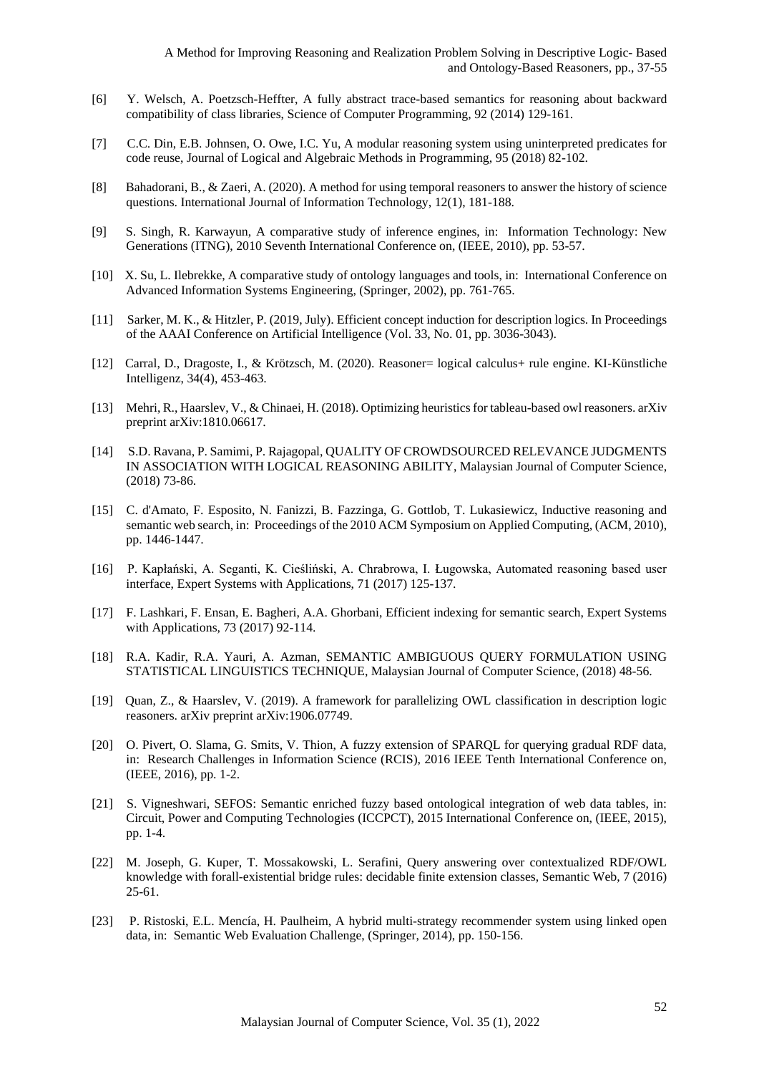- [6] Y. Welsch, A. Poetzsch-Heffter, A fully abstract trace-based semantics for reasoning about backward compatibility of class libraries, Science of Computer Programming, 92 (2014) 129-161.
- [7] C.C. Din, E.B. Johnsen, O. Owe, I.C. Yu, A modular reasoning system using uninterpreted predicates for code reuse, Journal of Logical and Algebraic Methods in Programming, 95 (2018) 82-102.
- [8] Bahadorani, B., & Zaeri, A. (2020). A method for using temporal reasoners to answer the history of science questions. International Journal of Information Technology, 12(1), 181-188.
- [9] S. Singh, R. Karwayun, A comparative study of inference engines, in: Information Technology: New Generations (ITNG), 2010 Seventh International Conference on, (IEEE, 2010), pp. 53-57.
- [10] X. Su, L. Ilebrekke, A comparative study of ontology languages and tools, in: International Conference on Advanced Information Systems Engineering, (Springer, 2002), pp. 761-765.
- [11] Sarker, M. K., & Hitzler, P. (2019, July). Efficient concept induction for description logics. In Proceedings of the AAAI Conference on Artificial Intelligence (Vol. 33, No. 01, pp. 3036-3043).
- [12] Carral, D., Dragoste, I., & Krötzsch, M. (2020). Reasoner= logical calculus+ rule engine. KI-Künstliche Intelligenz, 34(4), 453-463.
- [13] Mehri, R., Haarslev, V., & Chinaei, H. (2018). Optimizing heuristics for tableau-based owl reasoners. arXiv preprint arXiv:1810.06617.
- [14] S.D. Ravana, P. Samimi, P. Rajagopal, QUALITY OF CROWDSOURCED RELEVANCE JUDGMENTS IN ASSOCIATION WITH LOGICAL REASONING ABILITY, Malaysian Journal of Computer Science, (2018) 73-86.
- [15] C. d'Amato, F. Esposito, N. Fanizzi, B. Fazzinga, G. Gottlob, T. Lukasiewicz, Inductive reasoning and semantic web search, in: Proceedings of the 2010 ACM Symposium on Applied Computing, (ACM, 2010), pp. 1446-1447.
- [16] P. Kapłański, A. Seganti, K. Cieśliński, A. Chrabrowa, I. Ługowska, Automated reasoning based user interface, Expert Systems with Applications, 71 (2017) 125-137.
- [17] F. Lashkari, F. Ensan, E. Bagheri, A.A. Ghorbani, Efficient indexing for semantic search, Expert Systems with Applications, 73 (2017) 92-114.
- [18] R.A. Kadir, R.A. Yauri, A. Azman, SEMANTIC AMBIGUOUS QUERY FORMULATION USING STATISTICAL LINGUISTICS TECHNIQUE, Malaysian Journal of Computer Science, (2018) 48-56.
- [19] Quan, Z., & Haarslev, V. (2019). A framework for parallelizing OWL classification in description logic reasoners. arXiv preprint arXiv:1906.07749.
- [20] O. Pivert, O. Slama, G. Smits, V. Thion, A fuzzy extension of SPARQL for querying gradual RDF data, in: Research Challenges in Information Science (RCIS), 2016 IEEE Tenth International Conference on, (IEEE, 2016), pp. 1-2.
- [21] S. Vigneshwari, SEFOS: Semantic enriched fuzzy based ontological integration of web data tables, in: Circuit, Power and Computing Technologies (ICCPCT), 2015 International Conference on, (IEEE, 2015), pp. 1-4.
- [22] M. Joseph, G. Kuper, T. Mossakowski, L. Serafini, Query answering over contextualized RDF/OWL knowledge with forall-existential bridge rules: decidable finite extension classes, Semantic Web, 7 (2016) 25-61.
- [23] P. Ristoski, E.L. Mencía, H. Paulheim, A hybrid multi-strategy recommender system using linked open data, in: Semantic Web Evaluation Challenge, (Springer, 2014), pp. 150-156.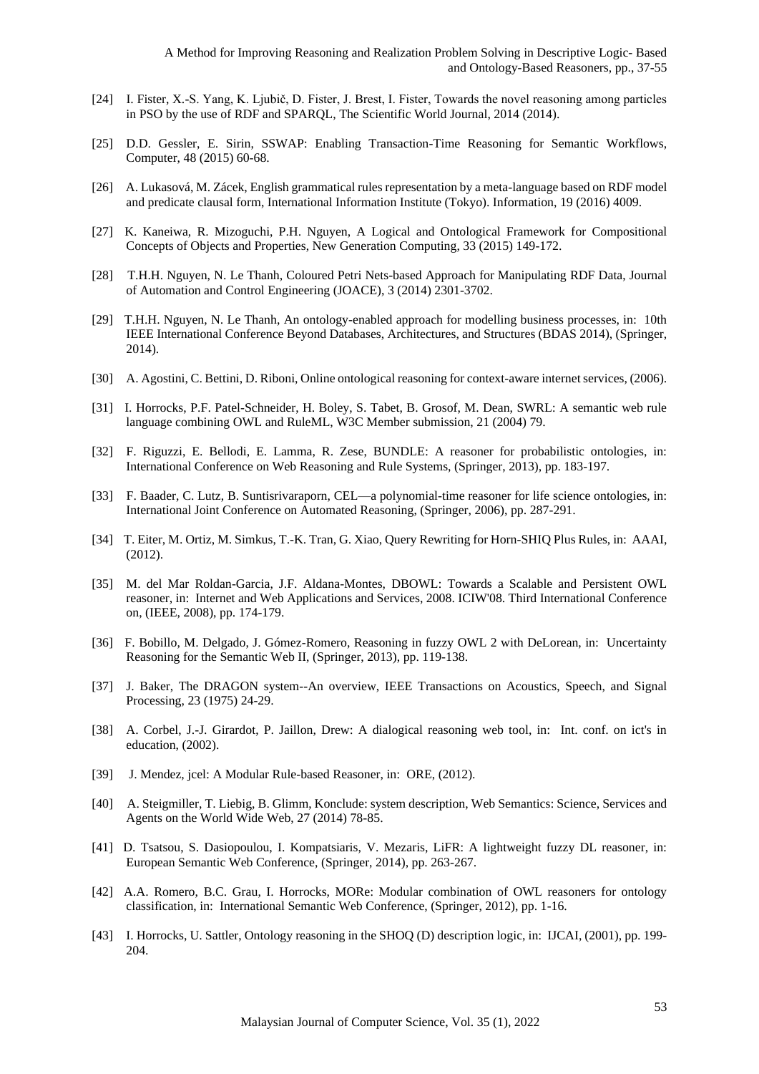- [24] I. Fister, X.-S. Yang, K. Ljubič, D. Fister, J. Brest, I. Fister, Towards the novel reasoning among particles in PSO by the use of RDF and SPARQL, The Scientific World Journal, 2014 (2014).
- [25] D.D. Gessler, E. Sirin, SSWAP: Enabling Transaction-Time Reasoning for Semantic Workflows, Computer, 48 (2015) 60-68.
- [26] A. Lukasová, M. Zácek, English grammatical rules representation by a meta-language based on RDF model and predicate clausal form, International Information Institute (Tokyo). Information, 19 (2016) 4009.
- [27] K. Kaneiwa, R. Mizoguchi, P.H. Nguyen, A Logical and Ontological Framework for Compositional Concepts of Objects and Properties, New Generation Computing, 33 (2015) 149-172.
- [28] T.H.H. Nguyen, N. Le Thanh, Coloured Petri Nets-based Approach for Manipulating RDF Data, Journal of Automation and Control Engineering (JOACE), 3 (2014) 2301-3702.
- [29] T.H.H. Nguyen, N. Le Thanh, An ontology-enabled approach for modelling business processes, in: 10th IEEE International Conference Beyond Databases, Architectures, and Structures (BDAS 2014), (Springer, 2014).
- [30] A. Agostini, C. Bettini, D. Riboni, Online ontological reasoning for context-aware internet services, (2006).
- [31] I. Horrocks, P.F. Patel-Schneider, H. Boley, S. Tabet, B. Grosof, M. Dean, SWRL: A semantic web rule language combining OWL and RuleML, W3C Member submission, 21 (2004) 79.
- [32] F. Riguzzi, E. Bellodi, E. Lamma, R. Zese, BUNDLE: A reasoner for probabilistic ontologies, in: International Conference on Web Reasoning and Rule Systems, (Springer, 2013), pp. 183-197.
- [33] F. Baader, C. Lutz, B. Suntisrivaraporn, CEL—a polynomial-time reasoner for life science ontologies, in: International Joint Conference on Automated Reasoning, (Springer, 2006), pp. 287-291.
- [34] T. Eiter, M. Ortiz, M. Simkus, T.-K. Tran, G. Xiao, Query Rewriting for Horn-SHIQ Plus Rules, in: AAAI, (2012).
- [35] M. del Mar Roldan-Garcia, J.F. Aldana-Montes, DBOWL: Towards a Scalable and Persistent OWL reasoner, in: Internet and Web Applications and Services, 2008. ICIW'08. Third International Conference on, (IEEE, 2008), pp. 174-179.
- [36] F. Bobillo, M. Delgado, J. Gómez-Romero, Reasoning in fuzzy OWL 2 with DeLorean, in: Uncertainty Reasoning for the Semantic Web II, (Springer, 2013), pp. 119-138.
- [37] J. Baker, The DRAGON system--An overview, IEEE Transactions on Acoustics, Speech, and Signal Processing, 23 (1975) 24-29.
- [38] A. Corbel, J.-J. Girardot, P. Jaillon, Drew: A dialogical reasoning web tool, in: Int. conf. on ict's in education, (2002).
- [39] J. Mendez, jcel: A Modular Rule-based Reasoner, in: ORE, (2012).
- [40] A. Steigmiller, T. Liebig, B. Glimm, Konclude: system description, Web Semantics: Science, Services and Agents on the World Wide Web, 27 (2014) 78-85.
- [41] D. Tsatsou, S. Dasiopoulou, I. Kompatsiaris, V. Mezaris, LiFR: A lightweight fuzzy DL reasoner, in: European Semantic Web Conference, (Springer, 2014), pp. 263-267.
- [42] A.A. Romero, B.C. Grau, I. Horrocks, MORe: Modular combination of OWL reasoners for ontology classification, in: International Semantic Web Conference, (Springer, 2012), pp. 1-16.
- [43] I. Horrocks, U. Sattler, Ontology reasoning in the SHOQ (D) description logic, in: IJCAI, (2001), pp. 199- 204.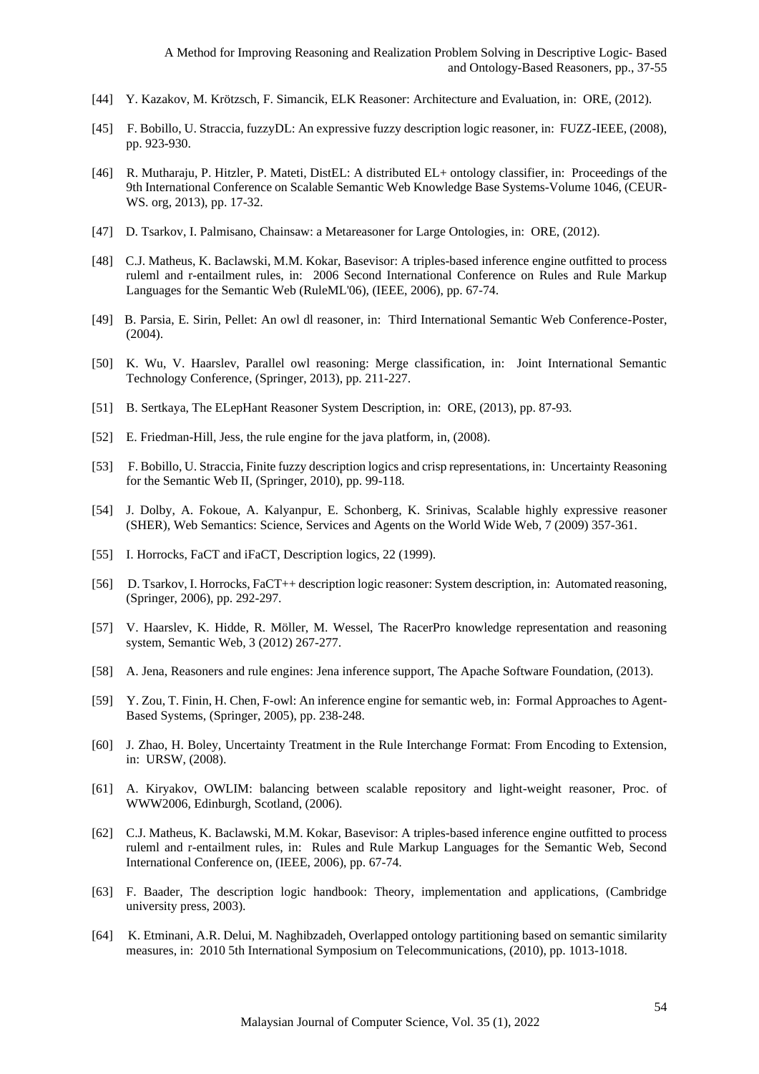- [44] Y. Kazakov, M. Krötzsch, F. Simancik, ELK Reasoner: Architecture and Evaluation, in: ORE, (2012).
- [45] F. Bobillo, U. Straccia, fuzzyDL: An expressive fuzzy description logic reasoner, in: FUZZ-IEEE, (2008), pp. 923-930.
- [46] R. Mutharaju, P. Hitzler, P. Mateti, DistEL: A distributed EL+ ontology classifier, in: Proceedings of the 9th International Conference on Scalable Semantic Web Knowledge Base Systems-Volume 1046, (CEUR-WS. org, 2013), pp. 17-32.
- [47] D. Tsarkov, I. Palmisano, Chainsaw: a Metareasoner for Large Ontologies, in: ORE, (2012).
- [48] C.J. Matheus, K. Baclawski, M.M. Kokar, Basevisor: A triples-based inference engine outfitted to process ruleml and r-entailment rules, in: 2006 Second International Conference on Rules and Rule Markup Languages for the Semantic Web (RuleML'06), (IEEE, 2006), pp. 67-74.
- [49] B. Parsia, E. Sirin, Pellet: An owl dl reasoner, in: Third International Semantic Web Conference-Poster, (2004).
- [50] K. Wu, V. Haarslev, Parallel owl reasoning: Merge classification, in: Joint International Semantic Technology Conference, (Springer, 2013), pp. 211-227.
- [51] B. Sertkaya, The ELepHant Reasoner System Description, in: ORE, (2013), pp. 87-93.
- [52] E. Friedman-Hill, Jess, the rule engine for the java platform, in, (2008).
- [53] F. Bobillo, U. Straccia, Finite fuzzy description logics and crisp representations, in: Uncertainty Reasoning for the Semantic Web II, (Springer, 2010), pp. 99-118.
- [54] J. Dolby, A. Fokoue, A. Kalyanpur, E. Schonberg, K. Srinivas, Scalable highly expressive reasoner (SHER), Web Semantics: Science, Services and Agents on the World Wide Web, 7 (2009) 357-361.
- [55] I. Horrocks, FaCT and iFaCT, Description logics, 22 (1999).
- [56] D. Tsarkov, I. Horrocks, FaCT++ description logic reasoner: System description, in: Automated reasoning, (Springer, 2006), pp. 292-297.
- [57] V. Haarslev, K. Hidde, R. Möller, M. Wessel, The RacerPro knowledge representation and reasoning system, Semantic Web, 3 (2012) 267-277.
- [58] A. Jena, Reasoners and rule engines: Jena inference support, The Apache Software Foundation, (2013).
- [59] Y. Zou, T. Finin, H. Chen, F-owl: An inference engine for semantic web, in: Formal Approaches to Agent-Based Systems, (Springer, 2005), pp. 238-248.
- [60] J. Zhao, H. Boley, Uncertainty Treatment in the Rule Interchange Format: From Encoding to Extension, in: URSW, (2008).
- [61] A. Kiryakov, OWLIM: balancing between scalable repository and light-weight reasoner, Proc. of WWW2006, Edinburgh, Scotland, (2006).
- [62] C.J. Matheus, K. Baclawski, M.M. Kokar, Basevisor: A triples-based inference engine outfitted to process ruleml and r-entailment rules, in: Rules and Rule Markup Languages for the Semantic Web, Second International Conference on, (IEEE, 2006), pp. 67-74.
- <span id="page-17-0"></span>[63] F. Baader, The description logic handbook: Theory, implementation and applications, (Cambridge university press, 2003).
- <span id="page-17-1"></span>[64] K. Etminani, A.R. Delui, M. Naghibzadeh, Overlapped ontology partitioning based on semantic similarity measures, in: 2010 5th International Symposium on Telecommunications, (2010), pp. 1013-1018.